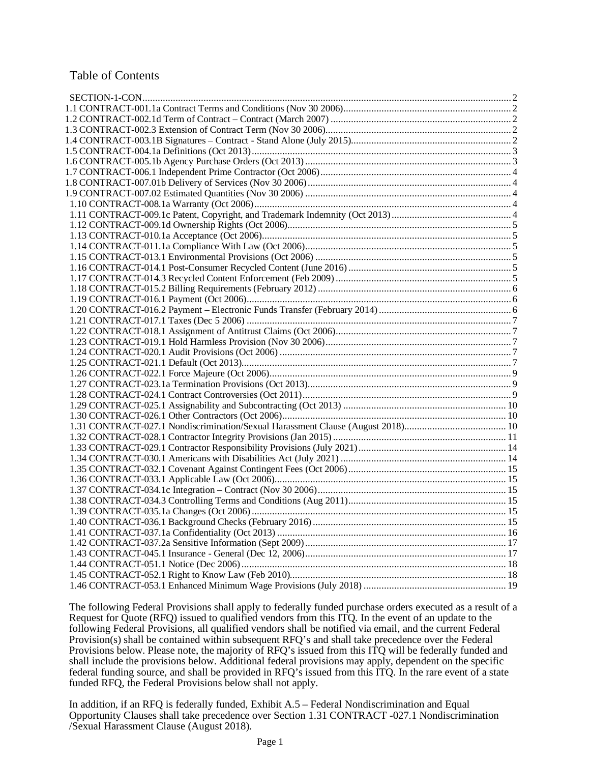## Table of Contents

The following Federal Provisions shall apply to federally funded purchase orders executed as a result of a Request for Quote (RFQ) issued to qualified vendors from this ITQ. In the event of an update to the following Federal Provisions, all qualified vendors shall be notified via email, and the current Federal Provision(s) shall be contained within subsequent RFQ's and shall take precedence over the Federal Provisions below. Please note, the majority of RFQ's issued from this ITQ will be federally funded and shall include the provisions below. Additional federal provisions may apply, dependent on the specific federal funding source, and shall be provided in RFQ's issued from this ITQ. In the rare event of a state funded RFQ, the Federal Provisions below shall not apply.

In addition, if an RFQ is federally funded, Exhibit A.5 – Federal Nondiscrimination and Equal Opportunity Clauses shall take precedence over Section 1.31 CONTRACT -027.1 Nondiscrimination /Sexual Harassment Clause (August 2018).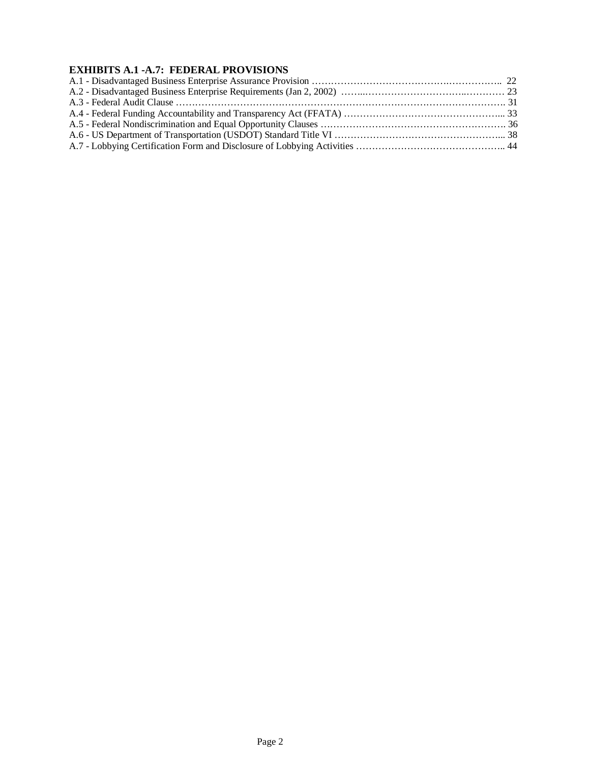# **EXHIBITS A.1 -A.7: FEDERAL PROVISIONS**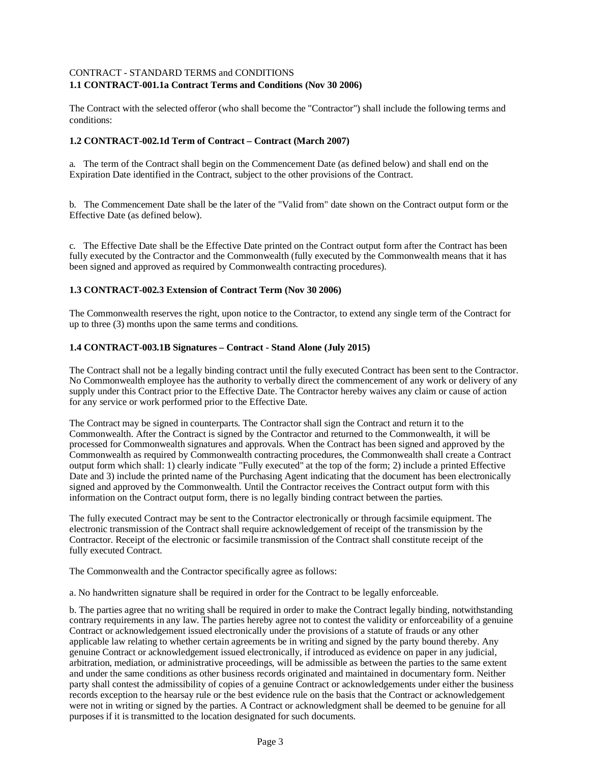## <span id="page-2-0"></span>CONTRACT - STANDARD TERMS and CONDITIONS **1.1 CONTRACT-001.1a Contract Terms and Conditions (Nov 30 2006)**

The Contract with the selected offeror (who shall become the "Contractor") shall include the following terms and conditions:

## <span id="page-2-1"></span>**1.2 CONTRACT-002.1d Term of Contract – Contract (March 2007)**

a. The term of the Contract shall begin on the Commencement Date (as defined below) and shall end on the Expiration Date identified in the Contract, subject to the other provisions of the Contract.

b. The Commencement Date shall be the later of the "Valid from" date shown on the Contract output form or the Effective Date (as defined below).

c. The Effective Date shall be the Effective Date printed on the Contract output form after the Contract has been fully executed by the Contractor and the Commonwealth (fully executed by the Commonwealth means that it has been signed and approved as required by Commonwealth contracting procedures).

## <span id="page-2-2"></span>**1.3 CONTRACT-002.3 Extension of Contract Term (Nov 30 2006)**

The Commonwealth reserves the right, upon notice to the Contractor, to extend any single term of the Contract for up to three (3) months upon the same terms and conditions.

## <span id="page-2-3"></span>**1.4 CONTRACT-003.1B Signatures – Contract - Stand Alone (July 2015)**

The Contract shall not be a legally binding contract until the fully executed Contract has been sent to the Contractor. No Commonwealth employee has the authority to verbally direct the commencement of any work or delivery of any supply under this Contract prior to the Effective Date. The Contractor hereby waives any claim or cause of action for any service or work performed prior to the Effective Date.

The Contract may be signed in counterparts. The Contractor shall sign the Contract and return it to the Commonwealth. After the Contract is signed by the Contractor and returned to the Commonwealth, it will be processed for Commonwealth signatures and approvals. When the Contract has been signed and approved by the Commonwealth as required by Commonwealth contracting procedures, the Commonwealth shall create a Contract output form which shall: 1) clearly indicate "Fully executed" at the top of the form; 2) include a printed Effective Date and 3) include the printed name of the Purchasing Agent indicating that the document has been electronically signed and approved by the Commonwealth. Until the Contractor receives the Contract output form with this information on the Contract output form, there is no legally binding contract between the parties.

The fully executed Contract may be sent to the Contractor electronically or through facsimile equipment. The electronic transmission of the Contract shall require acknowledgement of receipt of the transmission by the Contractor. Receipt of the electronic or facsimile transmission of the Contract shall constitute receipt of the fully executed Contract.

The Commonwealth and the Contractor specifically agree as follows:

a. No handwritten signature shall be required in order for the Contract to be legally enforceable.

b. The parties agree that no writing shall be required in order to make the Contract legally binding, notwithstanding contrary requirements in any law. The parties hereby agree not to contest the validity or enforceability of a genuine Contract or acknowledgement issued electronically under the provisions of a statute of frauds or any other applicable law relating to whether certain agreements be in writing and signed by the party bound thereby. Any genuine Contract or acknowledgement issued electronically, if introduced as evidence on paper in any judicial, arbitration, mediation, or administrative proceedings, will be admissible as between the parties to the same extent and under the same conditions as other business records originated and maintained in documentary form. Neither party shall contest the admissibility of copies of a genuine Contract or acknowledgements under either the business records exception to the hearsay rule or the best evidence rule on the basis that the Contract or acknowledgement were not in writing or signed by the parties. A Contract or acknowledgment shall be deemed to be genuine for all purposes if it is transmitted to the location designated for such documents.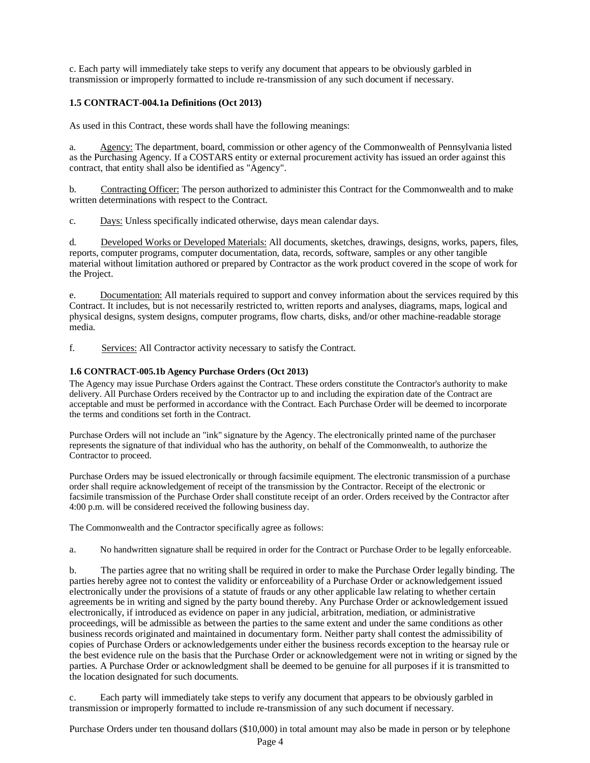c. Each party will immediately take steps to verify any document that appears to be obviously garbled in transmission or improperly formatted to include re-transmission of any such document if necessary.

## <span id="page-3-0"></span>**1.5 CONTRACT-004.1a Definitions (Oct 2013)**

As used in this Contract, these words shall have the following meanings:

a. Agency: The department, board, commission or other agency of the Commonwealth of Pennsylvania listed as the Purchasing Agency. If a COSTARS entity or external procurement activity has issued an order against this contract, that entity shall also be identified as "Agency".

b. Contracting Officer: The person authorized to administer this Contract for the Commonwealth and to make written determinations with respect to the Contract.

c. Days: Unless specifically indicated otherwise, days mean calendar days.

d. Developed Works or Developed Materials: All documents, sketches, drawings, designs, works, papers, files, reports, computer programs, computer documentation, data, records, software, samples or any other tangible material without limitation authored or prepared by Contractor as the work product covered in the scope of work for the Project.

e. Documentation: All materials required to support and convey information about the services required by this Contract. It includes, but is not necessarily restricted to, written reports and analyses, diagrams, maps, logical and physical designs, system designs, computer programs, flow charts, disks, and/or other machine-readable storage media.

f. Services: All Contractor activity necessary to satisfy the Contract.

## <span id="page-3-1"></span>**1.6 CONTRACT-005.1b Agency Purchase Orders (Oct 2013)**

The Agency may issue Purchase Orders against the Contract. These orders constitute the Contractor's authority to make delivery. All Purchase Orders received by the Contractor up to and including the expiration date of the Contract are acceptable and must be performed in accordance with the Contract. Each Purchase Order will be deemed to incorporate the terms and conditions set forth in the Contract.

Purchase Orders will not include an "ink" signature by the Agency. The electronically printed name of the purchaser represents the signature of that individual who has the authority, on behalf of the Commonwealth, to authorize the Contractor to proceed.

Purchase Orders may be issued electronically or through facsimile equipment. The electronic transmission of a purchase order shall require acknowledgement of receipt of the transmission by the Contractor. Receipt of the electronic or facsimile transmission of the Purchase Order shall constitute receipt of an order. Orders received by the Contractor after 4:00 p.m. will be considered received the following business day.

The Commonwealth and the Contractor specifically agree as follows:

a. No handwritten signature shall be required in order for the Contract or Purchase Order to be legally enforceable.

b. The parties agree that no writing shall be required in order to make the Purchase Order legally binding. The parties hereby agree not to contest the validity or enforceability of a Purchase Order or acknowledgement issued electronically under the provisions of a statute of frauds or any other applicable law relating to whether certain agreements be in writing and signed by the party bound thereby. Any Purchase Order or acknowledgement issued electronically, if introduced as evidence on paper in any judicial, arbitration, mediation, or administrative proceedings, will be admissible as between the parties to the same extent and under the same conditions as other business records originated and maintained in documentary form. Neither party shall contest the admissibility of copies of Purchase Orders or acknowledgements under either the business records exception to the hearsay rule or the best evidence rule on the basis that the Purchase Order or acknowledgement were not in writing or signed by the parties. A Purchase Order or acknowledgment shall be deemed to be genuine for all purposes if it is transmitted to the location designated for such documents.

c. Each party will immediately take steps to verify any document that appears to be obviously garbled in transmission or improperly formatted to include re-transmission of any such document if necessary.

Purchase Orders under ten thousand dollars (\$10,000) in total amount may also be made in person or by telephone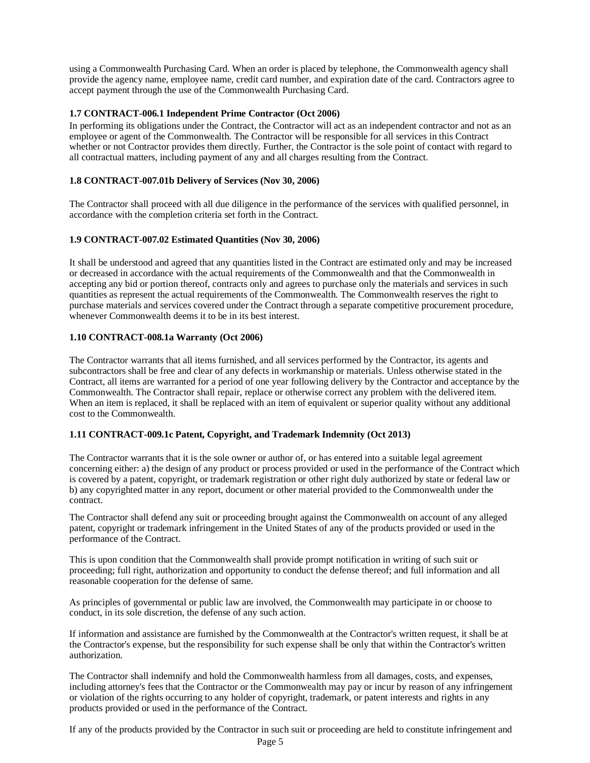using a Commonwealth Purchasing Card. When an order is placed by telephone, the Commonwealth agency shall provide the agency name, employee name, credit card number, and expiration date of the card. Contractors agree to accept payment through the use of the Commonwealth Purchasing Card.

## <span id="page-4-0"></span>**1.7 CONTRACT-006.1 Independent Prime Contractor (Oct 2006)**

In performing its obligations under the Contract, the Contractor will act as an independent contractor and not as an employee or agent of the Commonwealth. The Contractor will be responsible for all services in this Contract whether or not Contractor provides them directly. Further, the Contractor is the sole point of contact with regard to all contractual matters, including payment of any and all charges resulting from the Contract.

## <span id="page-4-1"></span>**1.8 CONTRACT-007.01b Delivery of Services (Nov 30, 2006)**

The Contractor shall proceed with all due diligence in the performance of the services with qualified personnel, in accordance with the completion criteria set forth in the Contract.

## <span id="page-4-2"></span>**1.9 CONTRACT-007.02 Estimated Quantities (Nov 30, 2006)**

It shall be understood and agreed that any quantities listed in the Contract are estimated only and may be increased or decreased in accordance with the actual requirements of the Commonwealth and that the Commonwealth in accepting any bid or portion thereof, contracts only and agrees to purchase only the materials and services in such quantities as represent the actual requirements of the Commonwealth. The Commonwealth reserves the right to purchase materials and services covered under the Contract through a separate competitive procurement procedure, whenever Commonwealth deems it to be in its best interest.

## <span id="page-4-3"></span>**1.10 CONTRACT-008.1a Warranty (Oct 2006)**

The Contractor warrants that all items furnished, and all services performed by the Contractor, its agents and subcontractors shall be free and clear of any defects in workmanship or materials. Unless otherwise stated in the Contract, all items are warranted for a period of one year following delivery by the Contractor and acceptance by the Commonwealth. The Contractor shall repair, replace or otherwise correct any problem with the delivered item. When an item is replaced, it shall be replaced with an item of equivalent or superior quality without any additional cost to the Commonwealth.

## <span id="page-4-4"></span>**1.11 CONTRACT-009.1c Patent, Copyright, and Trademark Indemnity (Oct 2013)**

The Contractor warrants that it is the sole owner or author of, or has entered into a suitable legal agreement concerning either: a) the design of any product or process provided or used in the performance of the Contract which is covered by a patent, copyright, or trademark registration or other right duly authorized by state or federal law or b) any copyrighted matter in any report, document or other material provided to the Commonwealth under the contract.

The Contractor shall defend any suit or proceeding brought against the Commonwealth on account of any alleged patent, copyright or trademark infringement in the United States of any of the products provided or used in the performance of the Contract.

This is upon condition that the Commonwealth shall provide prompt notification in writing of such suit or proceeding; full right, authorization and opportunity to conduct the defense thereof; and full information and all reasonable cooperation for the defense of same.

As principles of governmental or public law are involved, the Commonwealth may participate in or choose to conduct, in its sole discretion, the defense of any such action.

If information and assistance are furnished by the Commonwealth at the Contractor's written request, it shall be at the Contractor's expense, but the responsibility for such expense shall be only that within the Contractor's written authorization.

The Contractor shall indemnify and hold the Commonwealth harmless from all damages, costs, and expenses, including attorney's fees that the Contractor or the Commonwealth may pay or incur by reason of any infringement or violation of the rights occurring to any holder of copyright, trademark, or patent interests and rights in any products provided or used in the performance of the Contract.

If any of the products provided by the Contractor in such suit or proceeding are held to constitute infringement and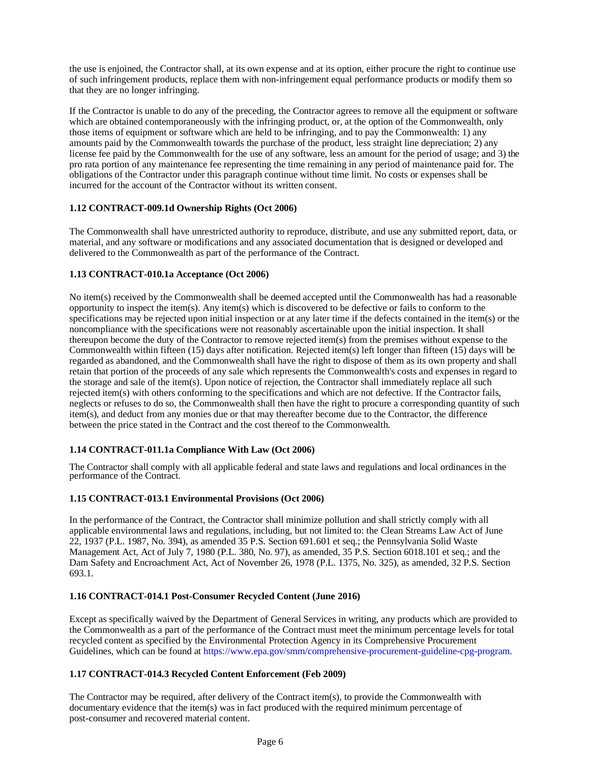the use is enjoined, the Contractor shall, at its own expense and at its option, either procure the right to continue use of such infringement products, replace them with non-infringement equal performance products or modify them so that they are no longer infringing.

If the Contractor is unable to do any of the preceding, the Contractor agrees to remove all the equipment or software which are obtained contemporaneously with the infringing product, or, at the option of the Commonwealth, only those items of equipment or software which are held to be infringing, and to pay the Commonwealth: 1) any amounts paid by the Commonwealth towards the purchase of the product, less straight line depreciation; 2) any license fee paid by the Commonwealth for the use of any software, less an amount for the period of usage; and 3) the pro rata portion of any maintenance fee representing the time remaining in any period of maintenance paid for. The obligations of the Contractor under this paragraph continue without time limit. No costs or expenses shall be incurred for the account of the Contractor without its written consent.

## <span id="page-5-0"></span>**1.12 CONTRACT-009.1d Ownership Rights (Oct 2006)**

The Commonwealth shall have unrestricted authority to reproduce, distribute, and use any submitted report, data, or material, and any software or modifications and any associated documentation that is designed or developed and delivered to the Commonwealth as part of the performance of the Contract.

## <span id="page-5-1"></span>**1.13 CONTRACT-010.1a Acceptance (Oct 2006)**

No item(s) received by the Commonwealth shall be deemed accepted until the Commonwealth has had a reasonable opportunity to inspect the item(s). Any item(s) which is discovered to be defective or fails to conform to the specifications may be rejected upon initial inspection or at any later time if the defects contained in the item(s) or the noncompliance with the specifications were not reasonably ascertainable upon the initial inspection. It shall thereupon become the duty of the Contractor to remove rejected item(s) from the premises without expense to the Commonwealth within fifteen (15) days after notification. Rejected item(s) left longer than fifteen (15) days will be regarded as abandoned, and the Commonwealth shall have the right to dispose of them as its own property and shall retain that portion of the proceeds of any sale which represents the Commonwealth's costs and expenses in regard to the storage and sale of the item(s). Upon notice of rejection, the Contractor shall immediately replace all such rejected item(s) with others conforming to the specifications and which are not defective. If the Contractor fails, neglects or refuses to do so, the Commonwealth shall then have the right to procure a corresponding quantity of such item(s), and deduct from any monies due or that may thereafter become due to the Contractor, the difference between the price stated in the Contract and the cost thereof to the Commonwealth.

## <span id="page-5-2"></span>**1.14 CONTRACT-011.1a Compliance With Law (Oct 2006)**

The Contractor shall comply with all applicable federal and state laws and regulations and local ordinances in the performance of the Contract.

#### <span id="page-5-3"></span>**1.15 CONTRACT-013.1 Environmental Provisions (Oct 2006)**

In the performance of the Contract, the Contractor shall minimize pollution and shall strictly comply with all applicable environmental laws and regulations, including, but not limited to: the Clean Streams Law Act of June 22, 1937 (P.L. 1987, No. 394), as amended 35 P.S. Section 691.601 et seq.; the Pennsylvania Solid Waste Management Act, Act of July 7, 1980 (P.L. 380, No. 97), as amended, 35 P.S. Section 6018.101 et seq.; and the Dam Safety and Encroachment Act, Act of November 26, 1978 (P.L. 1375, No. 325), as amended, 32 P.S. Section 693.1.

#### <span id="page-5-4"></span>**1.16 CONTRACT-014.1 Post-Consumer Recycled Content (June 2016)**

Except as specifically waived by the Department of General Services in writing, any products which are provided to the Commonwealth as a part of the performance of the Contract must meet the minimum percentage levels for total recycled content as specified by the Environmental Protection Agency in its Comprehensive Procurement Guidelines, which can be found at [https://www.epa.gov/smm/comprehensive-procurement-guideline-cpg-program.](http://www.epa.gov/smm/comprehensive-procurement-guideline-cpg-program)

#### <span id="page-5-5"></span>**1.17 CONTRACT-014.3 Recycled Content Enforcement (Feb 2009)**

The Contractor may be required, after delivery of the Contract item(s), to provide the Commonwealth with documentary evidence that the item(s) was in fact produced with the required minimum percentage of post-consumer and recovered material content.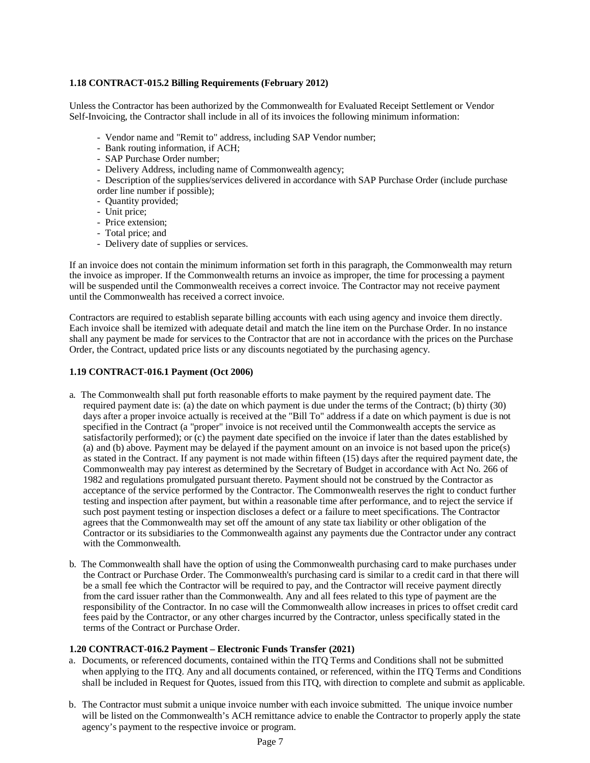## <span id="page-6-0"></span>**1.18 CONTRACT-015.2 Billing Requirements (February 2012)**

Unless the Contractor has been authorized by the Commonwealth for Evaluated Receipt Settlement or Vendor Self-Invoicing, the Contractor shall include in all of its invoices the following minimum information:

- Vendor name and "Remit to" address, including SAP Vendor number;
- Bank routing information, if ACH;
- SAP Purchase Order number;
- Delivery Address, including name of Commonwealth agency;

- Description of the supplies/services delivered in accordance with SAP Purchase Order (include purchase order line number if possible);

- Quantity provided;
- Unit price;
- Price extension;
- Total price; and
- Delivery date of supplies or services.

If an invoice does not contain the minimum information set forth in this paragraph, the Commonwealth may return the invoice as improper. If the Commonwealth returns an invoice as improper, the time for processing a payment will be suspended until the Commonwealth receives a correct invoice. The Contractor may not receive payment until the Commonwealth has received a correct invoice.

Contractors are required to establish separate billing accounts with each using agency and invoice them directly. Each invoice shall be itemized with adequate detail and match the line item on the Purchase Order. In no instance shall any payment be made for services to the Contractor that are not in accordance with the prices on the Purchase Order, the Contract, updated price lists or any discounts negotiated by the purchasing agency.

## <span id="page-6-1"></span>**1.19 CONTRACT-016.1 Payment (Oct 2006)**

- a. The Commonwealth shall put forth reasonable efforts to make payment by the required payment date. The required payment date is: (a) the date on which payment is due under the terms of the Contract; (b) thirty (30) days after a proper invoice actually is received at the "Bill To" address if a date on which payment is due is not specified in the Contract (a "proper" invoice is not received until the Commonwealth accepts the service as satisfactorily performed); or (c) the payment date specified on the invoice if later than the dates established by (a) and (b) above. Payment may be delayed if the payment amount on an invoice is not based upon the price(s) as stated in the Contract. If any payment is not made within fifteen (15) days after the required payment date, the Commonwealth may pay interest as determined by the Secretary of Budget in accordance with Act No. 266 of 1982 and regulations promulgated pursuant thereto. Payment should not be construed by the Contractor as acceptance of the service performed by the Contractor. The Commonwealth reserves the right to conduct further testing and inspection after payment, but within a reasonable time after performance, and to reject the service if such post payment testing or inspection discloses a defect or a failure to meet specifications. The Contractor agrees that the Commonwealth may set off the amount of any state tax liability or other obligation of the Contractor or its subsidiaries to the Commonwealth against any payments due the Contractor under any contract with the Commonwealth.
- b. The Commonwealth shall have the option of using the Commonwealth purchasing card to make purchases under the Contract or Purchase Order. The Commonwealth's purchasing card is similar to a credit card in that there will be a small fee which the Contractor will be required to pay, and the Contractor will receive payment directly from the card issuer rather than the Commonwealth. Any and all fees related to this type of payment are the responsibility of the Contractor. In no case will the Commonwealth allow increases in prices to offset credit card fees paid by the Contractor, or any other charges incurred by the Contractor, unless specifically stated in the terms of the Contract or Purchase Order.

#### <span id="page-6-2"></span>**1.20 CONTRACT-016.2 Payment – Electronic Funds Transfer (2021)**

- a. Documents, or referenced documents, contained within the ITQ Terms and Conditions shall not be submitted when applying to the ITQ. Any and all documents contained, or referenced, within the ITQ Terms and Conditions shall be included in Request for Quotes, issued from this ITQ, with direction to complete and submit as applicable.
- b. The Contractor must submit a unique invoice number with each invoice submitted. The unique invoice number will be listed on the Commonwealth's ACH remittance advice to enable the Contractor to properly apply the state agency's payment to the respective invoice or program.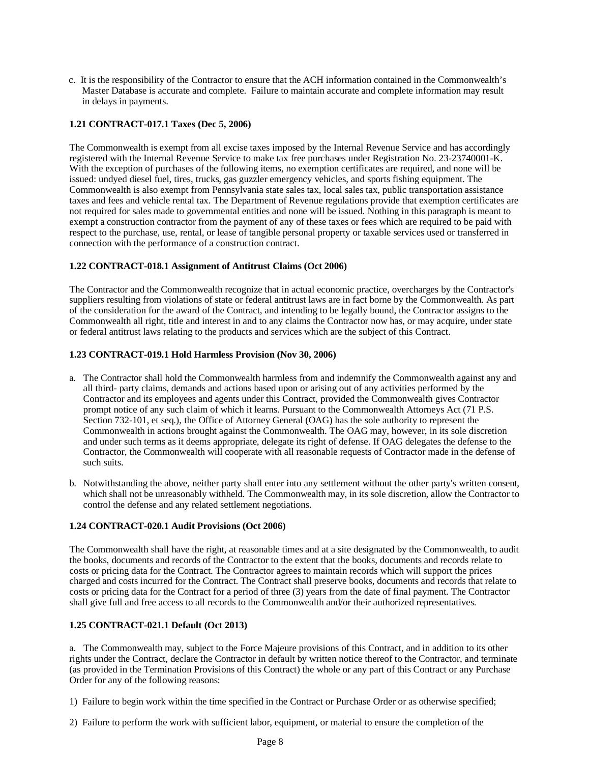c. It is the responsibility of the Contractor to ensure that the ACH information contained in the Commonwealth's Master Database is accurate and complete. Failure to maintain accurate and complete information may result in delays in payments.

## <span id="page-7-0"></span>**1.21 CONTRACT-017.1 Taxes (Dec 5, 2006)**

The Commonwealth is exempt from all excise taxes imposed by the Internal Revenue Service and has accordingly registered with the Internal Revenue Service to make tax free purchases under Registration No. 23-23740001-K. With the exception of purchases of the following items, no exemption certificates are required, and none will be issued: undyed diesel fuel, tires, trucks, gas guzzler emergency vehicles, and sports fishing equipment. The Commonwealth is also exempt from Pennsylvania state sales tax, local sales tax, public transportation assistance taxes and fees and vehicle rental tax. The Department of Revenue regulations provide that exemption certificates are not required for sales made to governmental entities and none will be issued. Nothing in this paragraph is meant to exempt a construction contractor from the payment of any of these taxes or fees which are required to be paid with respect to the purchase, use, rental, or lease of tangible personal property or taxable services used or transferred in connection with the performance of a construction contract.

## <span id="page-7-1"></span>**1.22 CONTRACT-018.1 Assignment of Antitrust Claims (Oct 2006)**

The Contractor and the Commonwealth recognize that in actual economic practice, overcharges by the Contractor's suppliers resulting from violations of state or federal antitrust laws are in fact borne by the Commonwealth. As part of the consideration for the award of the Contract, and intending to be legally bound, the Contractor assigns to the Commonwealth all right, title and interest in and to any claims the Contractor now has, or may acquire, under state or federal antitrust laws relating to the products and services which are the subject of this Contract.

#### <span id="page-7-2"></span>**1.23 CONTRACT-019.1 Hold Harmless Provision (Nov 30, 2006)**

- a. The Contractor shall hold the Commonwealth harmless from and indemnify the Commonwealth against any and all third- party claims, demands and actions based upon or arising out of any activities performed by the Contractor and its employees and agents under this Contract, provided the Commonwealth gives Contractor prompt notice of any such claim of which it learns. Pursuant to the Commonwealth Attorneys Act (71 P.S. Section 732-101, et seq.), the Office of Attorney General (OAG) has the sole authority to represent the Commonwealth in actions brought against the Commonwealth. The OAG may, however, in its sole discretion and under such terms as it deems appropriate, delegate its right of defense. If OAG delegates the defense to the Contractor, the Commonwealth will cooperate with all reasonable requests of Contractor made in the defense of such suits.
- b. Notwithstanding the above, neither party shall enter into any settlement without the other party's written consent, which shall not be unreasonably withheld. The Commonwealth may, in its sole discretion, allow the Contractor to control the defense and any related settlement negotiations.

#### <span id="page-7-3"></span>**1.24 CONTRACT-020.1 Audit Provisions (Oct 2006)**

The Commonwealth shall have the right, at reasonable times and at a site designated by the Commonwealth, to audit the books, documents and records of the Contractor to the extent that the books, documents and records relate to costs or pricing data for the Contract. The Contractor agrees to maintain records which will support the prices charged and costs incurred for the Contract. The Contract shall preserve books, documents and records that relate to costs or pricing data for the Contract for a period of three (3) years from the date of final payment. The Contractor shall give full and free access to all records to the Commonwealth and/or their authorized representatives.

## <span id="page-7-4"></span>**1.25 CONTRACT-021.1 Default (Oct 2013)**

a. The Commonwealth may, subject to the Force Majeure provisions of this Contract, and in addition to its other rights under the Contract, declare the Contractor in default by written notice thereof to the Contractor, and terminate (as provided in the Termination Provisions of this Contract) the whole or any part of this Contract or any Purchase Order for any of the following reasons:

- 1) Failure to begin work within the time specified in the Contract or Purchase Order or as otherwise specified;
- 2) Failure to perform the work with sufficient labor, equipment, or material to ensure the completion of the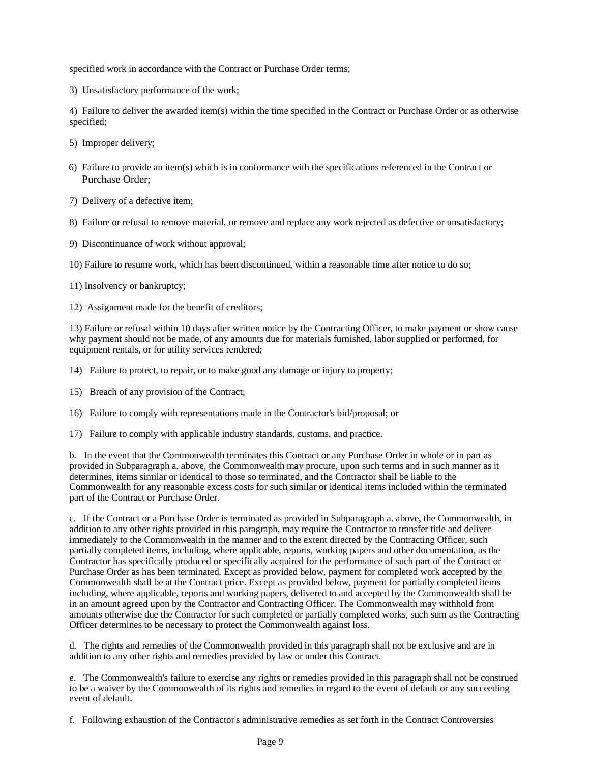specified work in accordance with the Contract or Purchase Order terms;

3) Unsatisfactory performance of the work;

4) Failure to deliver the awarded item(s) within the time specified in the Contract or Purchase Order or as otherwise specified;

- 5) Improper delivery;
- 6) Failure to provide an item(s) which is in conformance with the specifications referenced in the Contract or Purchase Order;
- 7) Delivery of a defective item;
- 8) Failure or refusal to remove material, or remove and replace any work rejected as defective or unsatisfactory;
- 9) Discontinuance of work without approval;
- 10) Failure to resume work, which has been discontinued, within a reasonable time after notice to do so;
- 11) Insolvency or bankruptcy;
- 12) Assignment made for the benefit of creditors;

13) Failure or refusal within 10 days after written notice by the Contracting Officer, to make payment or show cause why payment should not be made, of any amounts due for materials furnished, labor supplied or performed, for equipment rentals, or for utility services rendered;

- 14) Failure to protect, to repair, or to make good any damage or injury to property;
- 15) Breach of any provision of the Contract;
- 16) Failure to comply with representations made in the Contractor's bid/proposal; or
- 17) Failure to comply with applicable industry standards, customs, and practice.

b. In the event that the Commonwealth terminates this Contract or any Purchase Order in whole or in part as provided in Subparagraph a. above, the Commonwealth may procure, upon such terms and in such manner as it determines, items similar or identical to those so terminated, and the Contractor shall be liable to the Commonwealth for any reasonable excess costs for such similar or identical items included within the terminated part of the Contract or Purchase Order.

c. If the Contract or a Purchase Order is terminated as provided in Subparagraph a. above, the Commonwealth, in addition to any other rights provided in this paragraph, may require the Contractor to transfer title and deliver immediately to the Commonwealth in the manner and to the extent directed by the Contracting Officer, such partially completed items, including, where applicable, reports, working papers and other documentation, as the Contractor has specifically produced or specifically acquired for the performance of such part of the Contract or Purchase Order as has been terminated. Except as provided below, payment for completed work accepted by the Commonwealth shall be at the Contract price. Except as provided below, payment for partially completed items including, where applicable, reports and working papers, delivered to and accepted by the Commonwealth shall be in an amount agreed upon by the Contractor and Contracting Officer. The Commonwealth may withhold from amounts otherwise due the Contractor for such completed or partially completed works, such sum as the Contracting Officer determines to be necessary to protect the Commonwealth against loss.

d. The rights and remedies of the Commonwealth provided in this paragraph shall not be exclusive and are in addition to any other rights and remedies provided by law or under this Contract.

e. The Commonwealth's failure to exercise any rights or remedies provided in this paragraph shall not be construed to be a waiver by the Commonwealth of its rights and remedies in regard to the event of default or any succeeding event of default.

f. Following exhaustion of the Contractor's administrative remedies as set forth in the Contract Controversies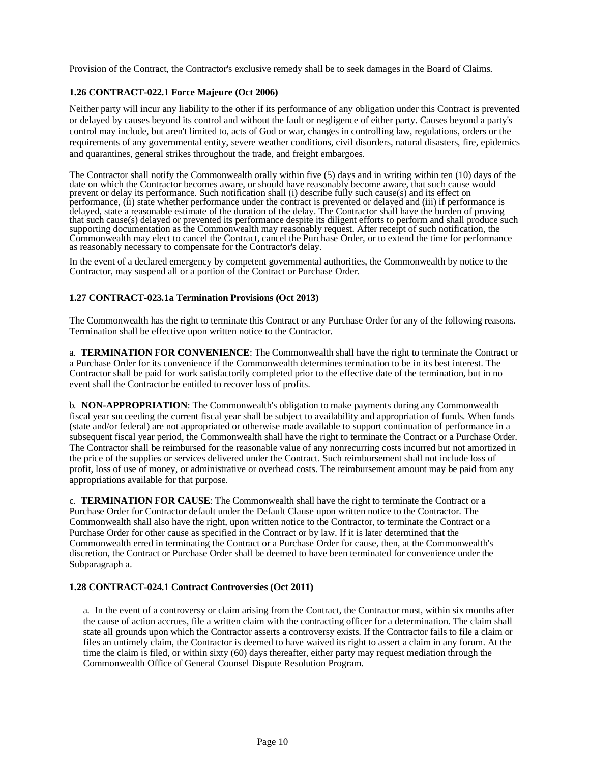Provision of the Contract, the Contractor's exclusive remedy shall be to seek damages in the Board of Claims.

## <span id="page-9-0"></span>**1.26 CONTRACT-022.1 Force Majeure (Oct 2006)**

Neither party will incur any liability to the other if its performance of any obligation under this Contract is prevented or delayed by causes beyond its control and without the fault or negligence of either party. Causes beyond a party's control may include, but aren't limited to, acts of God or war, changes in controlling law, regulations, orders or the requirements of any governmental entity, severe weather conditions, civil disorders, natural disasters, fire, epidemics and quarantines, general strikes throughout the trade, and freight embargoes.

The Contractor shall notify the Commonwealth orally within five (5) days and in writing within ten (10) days of the date on which the Contractor becomes aware, or should have reasonably become aware, that such cause would prevent or delay its performance. Such notification shall (i) describe fully such cause(s) and its effect on performance, (ii) state whether performance under the contract is prevented or delayed and (iii) if performance is delayed, state a reasonable estimate of the duration of the delay. The Contractor shall have the burden of proving that such cause(s) delayed or prevented its performance despite its diligent efforts to perform and shall produce such supporting documentation as the Commonwealth may reasonably request. After receipt of such notification, the Commonwealth may elect to cancel the Contract, cancel the Purchase Order, or to extend the time for performance as reasonably necessary to compensate for the Contractor's delay.

In the event of a declared emergency by competent governmental authorities, the Commonwealth by notice to the Contractor, may suspend all or a portion of the Contract or Purchase Order.

#### <span id="page-9-1"></span>**1.27 CONTRACT-023.1a Termination Provisions (Oct 2013)**

The Commonwealth has the right to terminate this Contract or any Purchase Order for any of the following reasons. Termination shall be effective upon written notice to the Contractor.

a. **TERMINATION FOR CONVENIENCE**: The Commonwealth shall have the right to terminate the Contract or a Purchase Order for its convenience if the Commonwealth determines termination to be in its best interest. The Contractor shall be paid for work satisfactorily completed prior to the effective date of the termination, but in no event shall the Contractor be entitled to recover loss of profits.

b. **NON-APPROPRIATION**: The Commonwealth's obligation to make payments during any Commonwealth fiscal year succeeding the current fiscal year shall be subject to availability and appropriation of funds. When funds (state and/or federal) are not appropriated or otherwise made available to support continuation of performance in a subsequent fiscal year period, the Commonwealth shall have the right to terminate the Contract or a Purchase Order. The Contractor shall be reimbursed for the reasonable value of any nonrecurring costs incurred but not amortized in the price of the supplies or services delivered under the Contract. Such reimbursement shall not include loss of profit, loss of use of money, or administrative or overhead costs. The reimbursement amount may be paid from any appropriations available for that purpose.

c. **TERMINATION FOR CAUSE**: The Commonwealth shall have the right to terminate the Contract or a Purchase Order for Contractor default under the Default Clause upon written notice to the Contractor. The Commonwealth shall also have the right, upon written notice to the Contractor, to terminate the Contract or a Purchase Order for other cause as specified in the Contract or by law. If it is later determined that the Commonwealth erred in terminating the Contract or a Purchase Order for cause, then, at the Commonwealth's discretion, the Contract or Purchase Order shall be deemed to have been terminated for convenience under the Subparagraph a.

#### <span id="page-9-2"></span>**1.28 CONTRACT-024.1 Contract Controversies (Oct 2011)**

a. In the event of a controversy or claim arising from the Contract, the Contractor must, within six months after the cause of action accrues, file a written claim with the contracting officer for a determination. The claim shall state all grounds upon which the Contractor asserts a controversy exists. If the Contractor fails to file a claim or files an untimely claim, the Contractor is deemed to have waived its right to assert a claim in any forum. At the time the claim is filed, or within sixty (60) days thereafter, either party may request mediation through the Commonwealth Office of General Counsel Dispute Resolution Program.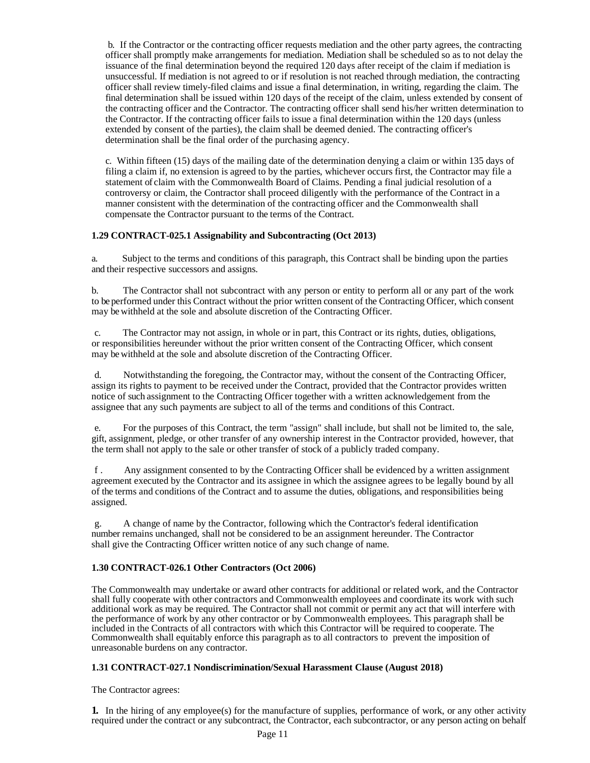b. If the Contractor or the contracting officer requests mediation and the other party agrees, the contracting officer shall promptly make arrangements for mediation. Mediation shall be scheduled so as to not delay the issuance of the final determination beyond the required 120 days after receipt of the claim if mediation is unsuccessful. If mediation is not agreed to or if resolution is not reached through mediation, the contracting officer shall review timely-filed claims and issue a final determination, in writing, regarding the claim. The final determination shall be issued within 120 days of the receipt of the claim, unless extended by consent of the contracting officer and the Contractor. The contracting officer shall send his/her written determination to the Contractor. If the contracting officer fails to issue a final determination within the 120 days (unless extended by consent of the parties), the claim shall be deemed denied. The contracting officer's determination shall be the final order of the purchasing agency.

c. Within fifteen (15) days of the mailing date of the determination denying a claim or within 135 days of filing a claim if, no extension is agreed to by the parties, whichever occurs first, the Contractor may file a statement of claim with the Commonwealth Board of Claims. Pending a final judicial resolution of a controversy or claim, the Contractor shall proceed diligently with the performance of the Contract in a manner consistent with the determination of the contracting officer and the Commonwealth shall compensate the Contractor pursuant to the terms of the Contract.

## <span id="page-10-0"></span>**1.29 CONTRACT-025.1 Assignability and Subcontracting (Oct 2013)**

a. Subject to the terms and conditions of this paragraph, this Contract shall be binding upon the parties and their respective successors and assigns.

b. The Contractor shall not subcontract with any person or entity to perform all or any part of the work to be performed under this Contract without the prior written consent of the Contracting Officer, which consent may be withheld at the sole and absolute discretion of the Contracting Officer.

c. The Contractor may not assign, in whole or in part, this Contract or its rights, duties, obligations, or responsibilities hereunder without the prior written consent of the Contracting Officer, which consent may be withheld at the sole and absolute discretion of the Contracting Officer.

d. Notwithstanding the foregoing, the Contractor may, without the consent of the Contracting Officer, assign its rights to payment to be received under the Contract, provided that the Contractor provides written notice of such assignment to the Contracting Officer together with a written acknowledgement from the assignee that any such payments are subject to all of the terms and conditions of this Contract.

e. For the purposes of this Contract, the term "assign" shall include, but shall not be limited to, the sale, gift, assignment, pledge, or other transfer of any ownership interest in the Contractor provided, however, that the term shall not apply to the sale or other transfer of stock of a publicly traded company.

f . Any assignment consented to by the Contracting Officer shall be evidenced by a written assignment agreement executed by the Contractor and its assignee in which the assignee agrees to be legally bound by all of the terms and conditions of the Contract and to assume the duties, obligations, and responsibilities being assigned.

g. A change of name by the Contractor, following which the Contractor's federal identification number remains unchanged, shall not be considered to be an assignment hereunder. The Contractor shall give the Contracting Officer written notice of any such change of name.

## <span id="page-10-1"></span>**1.30 CONTRACT-026.1 Other Contractors (Oct 2006)**

The Commonwealth may undertake or award other contracts for additional or related work, and the Contractor shall fully cooperate with other contractors and Commonwealth employees and coordinate its work with such additional work as may be required. The Contractor shall not commit or permit any act that will interfere with the performance of work by any other contractor or by Commonwealth employees. This paragraph shall be included in the Contracts of all contractors with which this Contractor will be required to cooperate. The Commonwealth shall equitably enforce this paragraph as to all contractors to prevent the imposition of unreasonable burdens on any contractor.

#### <span id="page-10-2"></span>**1.31 CONTRACT-027.1 Nondiscrimination/Sexual Harassment Clause (August 2018)**

The Contractor agrees:

**1.** In the hiring of any employee(s) for the manufacture of supplies, performance of work, or any other activity required under the contract or any subcontract, the Contractor, each subcontractor, or any person acting on behalf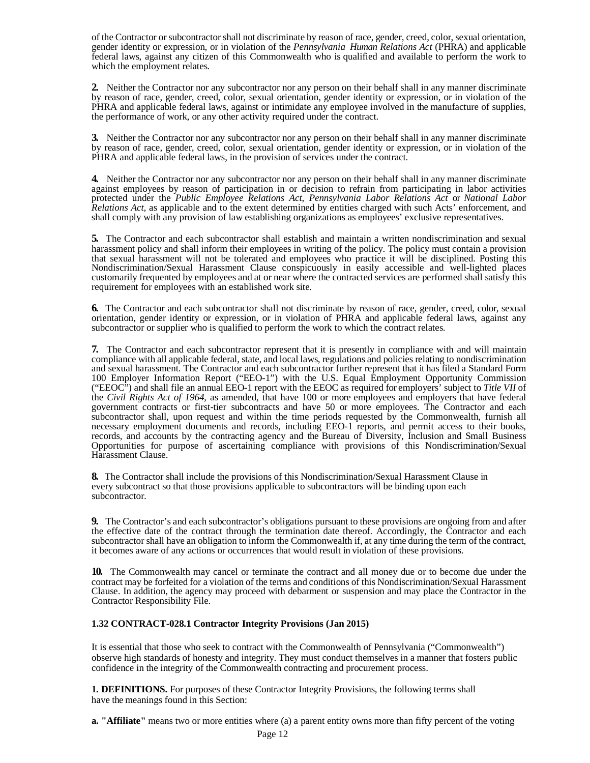of the Contractor or subcontractor shall not discriminate by reason of race, gender, creed, color, sexual orientation, gender identity or expression, or in violation of the *Pennsylvania Human Relations Act* (PHRA) and applicable federal laws, against any citizen of this Commonwealth who is qualified and available to perform the work to which the employment relates.

**2.** Neither the Contractor nor any subcontractor nor any person on their behalf shall in any manner discriminate by reason of race, gender, creed, color, sexual orientation, gender identity or expression, or in violation of the PHRA and applicable federal laws, against or intimidate any employee involved in the manufacture of supplies, the performance of work, or any other activity required under the contract.

**3.** Neither the Contractor nor any subcontractor nor any person on their behalf shall in any manner discriminate by reason of race, gender, creed, color, sexual orientation, gender identity or expression, or in violation of the PHRA and applicable federal laws, in the provision of services under the contract.

**4.** Neither the Contractor nor any subcontractor nor any person on their behalf shall in any manner discriminate against employees by reason of participation in or decision to refrain from participating in labor activities protected under the *Public Employee Relations Act*, *Pennsylvania Labor Relations Act* or *National Labor Relations Act,* as applicable and to the extent determined by entities charged with such Acts' enforcement, and shall comply with any provision of law establishing organizations as employees' exclusive representatives.

**5.** The Contractor and each subcontractor shall establish and maintain a written nondiscrimination and sexual harassment policy and shall inform their employees in writing of the policy. The policy must contain a provision that sexual harassment will not be tolerated and employees who practice it will be disciplined. Posting this Nondiscrimination/Sexual Harassment Clause conspicuously in easily accessible and well-lighted places customarily frequented by employees and at or near where the contracted services are performed shall satisfy this requirement for employees with an established work site.

**6.** The Contractor and each subcontractor shall not discriminate by reason of race, gender, creed, color, sexual orientation, gender identity or expression, or in violation of PHRA and applicable federal laws, against any subcontractor or supplier who is qualified to perform the work to which the contract relates.

**7.** The Contractor and each subcontractor represent that it is presently in compliance with and will maintain compliance with all applicable federal, state, and local laws, regulations and policies relating to nondiscrimination and sexual harassment. The Contractor and each subcontractor further represent that it has filed a Standard Form 100 Employer Information Report ("EEO-1") with the U.S. Equal Employment Opportunity Commission ("EEOC") and shall file an annual EEO-1 report with the EEOC as required for employers' subject to *Title VII* of the *Civil Rights Act of 1964*, as amended, that have 100 or more employees and employers that have federal government contracts or first-tier subcontracts and have 50 or more employees. The Contractor and each subcontractor shall, upon request and within the time periods requested by the Commonwealth, furnish all necessary employment documents and records, including EEO-1 reports, and permit access to their books, records, and accounts by the contracting agency and the Bureau of Diversity, Inclusion and Small Business Opportunities for purpose of ascertaining compliance with provisions of this Nondiscrimination/Sexual Harassment Clause.

**8.** The Contractor shall include the provisions of this Nondiscrimination/Sexual Harassment Clause in every subcontract so that those provisions applicable to subcontractors will be binding upon each subcontractor.

**9.** The Contractor's and each subcontractor's obligations pursuant to these provisions are ongoing from and after the effective date of the contract through the termination date thereof. Accordingly, the Contractor and each subcontractor shall have an obligation to inform the Commonwealth if, at any time during the term of the contract, it becomes aware of any actions or occurrences that would result in violation of these provisions.

**10.** The Commonwealth may cancel or terminate the contract and all money due or to become due under the contract may be forfeited for a violation of the terms and conditions of this Nondiscrimination/Sexual Harassment Clause. In addition, the agency may proceed with debarment or suspension and may place the Contractor in the Contractor Responsibility File.

## <span id="page-11-0"></span>**1.32 CONTRACT-028.1 Contractor Integrity Provisions (Jan 2015)**

It is essential that those who seek to contract with the Commonwealth of Pennsylvania ("Commonwealth") observe high standards of honesty and integrity. They must conduct themselves in a manner that fosters public confidence in the integrity of the Commonwealth contracting and procurement process.

**1. DEFINITIONS.** For purposes of these Contractor Integrity Provisions, the following terms shall have the meanings found in this Section:

**a. "Affiliate"** means two or more entities where (a) a parent entity owns more than fifty percent of the voting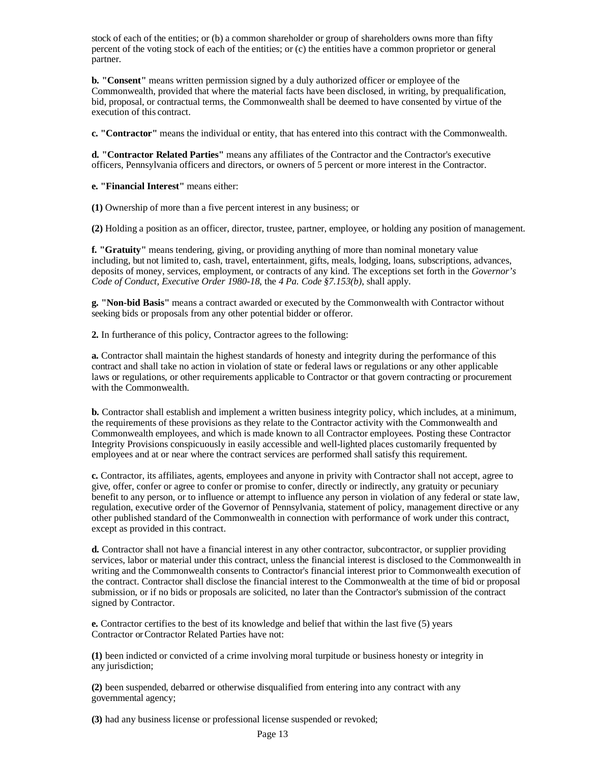stock of each of the entities; or (b) a common shareholder or group of shareholders owns more than fifty percent of the voting stock of each of the entities; or (c) the entities have a common proprietor or general partner.

**b. "Consent"** means written permission signed by a duly authorized officer or employee of the Commonwealth, provided that where the material facts have been disclosed, in writing, by prequalification, bid, proposal, or contractual terms, the Commonwealth shall be deemed to have consented by virtue of the execution of this contract.

**c. "Contractor"** means the individual or entity, that has entered into this contract with the Commonwealth.

**d. "Contractor Related Parties"** means any affiliates of the Contractor and the Contractor's executive officers, Pennsylvania officers and directors, or owners of 5 percent or more interest in the Contractor.

**e. "Financial Interest"** means either:

**(1)** Ownership of more than a five percent interest in any business; or

**(2)** Holding a position as an officer, director, trustee, partner, employee, or holding any position of management.

**f. "Gratuity"** means tendering, giving, or providing anything of more than nominal monetary value including, but not limited to, cash, travel, entertainment, gifts, meals, lodging, loans, subscriptions, advances, deposits of money, services, employment, or contracts of any kind. The exceptions set forth in the *Governor's Code of Conduct, Executive Order 1980-18*, the *4 Pa. Code §7.153(b)*, shall apply.

**g. "Non-bid Basis"** means a contract awarded or executed by the Commonwealth with Contractor without seeking bids or proposals from any other potential bidder or offeror.

**2.** In furtherance of this policy, Contractor agrees to the following:

**a.** Contractor shall maintain the highest standards of honesty and integrity during the performance of this contract and shall take no action in violation of state or federal laws or regulations or any other applicable laws or regulations, or other requirements applicable to Contractor or that govern contracting or procurement with the Commonwealth.

**b.** Contractor shall establish and implement a written business integrity policy, which includes, at a minimum, the requirements of these provisions as they relate to the Contractor activity with the Commonwealth and Commonwealth employees, and which is made known to all Contractor employees. Posting these Contractor Integrity Provisions conspicuously in easily accessible and well-lighted places customarily frequented by employees and at or near where the contract services are performed shall satisfy this requirement.

**c.** Contractor, its affiliates, agents, employees and anyone in privity with Contractor shall not accept, agree to give, offer, confer or agree to confer or promise to confer, directly or indirectly, any gratuity or pecuniary benefit to any person, or to influence or attempt to influence any person in violation of any federal or state law, regulation, executive order of the Governor of Pennsylvania, statement of policy, management directive or any other published standard of the Commonwealth in connection with performance of work under this contract, except as provided in this contract.

**d.** Contractor shall not have a financial interest in any other contractor, subcontractor, or supplier providing services, labor or material under this contract, unless the financial interest is disclosed to the Commonwealth in writing and the Commonwealth consents to Contractor's financial interest prior to Commonwealth execution of the contract. Contractor shall disclose the financial interest to the Commonwealth at the time of bid or proposal submission, or if no bids or proposals are solicited, no later than the Contractor's submission of the contract signed by Contractor.

**e.** Contractor certifies to the best of its knowledge and belief that within the last five (5) years Contractor or Contractor Related Parties have not:

**(1)** been indicted or convicted of a crime involving moral turpitude or business honesty or integrity in any jurisdiction;

**(2)** been suspended, debarred or otherwise disqualified from entering into any contract with any governmental agency;

**(3)** had any business license or professional license suspended or revoked;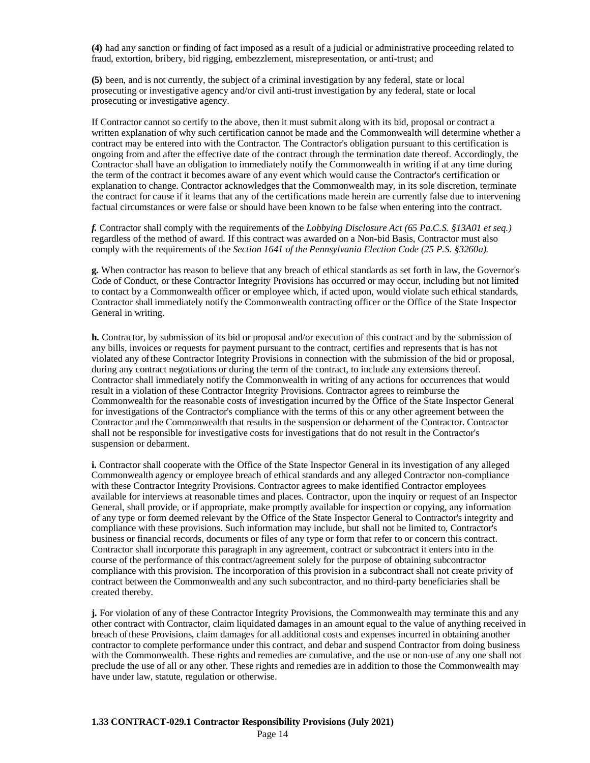**(4)** had any sanction or finding of fact imposed as a result of a judicial or administrative proceeding related to fraud, extortion, bribery, bid rigging, embezzlement, misrepresentation, or anti-trust; and

**(5)** been, and is not currently, the subject of a criminal investigation by any federal, state or local prosecuting or investigative agency and/or civil anti-trust investigation by any federal, state or local prosecuting or investigative agency.

If Contractor cannot so certify to the above, then it must submit along with its bid, proposal or contract a written explanation of why such certification cannot be made and the Commonwealth will determine whether a contract may be entered into with the Contractor. The Contractor's obligation pursuant to this certification is ongoing from and after the effective date of the contract through the termination date thereof. Accordingly, the Contractor shall have an obligation to immediately notify the Commonwealth in writing if at any time during the term of the contract it becomes aware of any event which would cause the Contractor's certification or explanation to change. Contractor acknowledges that the Commonwealth may, in its sole discretion, terminate the contract for cause if it learns that any of the certifications made herein are currently false due to intervening factual circumstances or were false or should have been known to be false when entering into the contract.

*f.* Contractor shall comply with the requirements of the *Lobbying Disclosure Act (65 Pa.C.S. §13A01 et seq.)*  regardless of the method of award. If this contract was awarded on a Non-bid Basis, Contractor must also comply with the requirements of the *Section 1641 of the Pennsylvania Election Code (25 P.S. §3260a).*

**g.** When contractor has reason to believe that any breach of ethical standards as set forth in law, the Governor's Code of Conduct, or these Contractor Integrity Provisions has occurred or may occur, including but not limited to contact by a Commonwealth officer or employee which, if acted upon, would violate such ethical standards, Contractor shall immediately notify the Commonwealth contracting officer or the Office of the State Inspector General in writing.

**h.** Contractor, by submission of its bid or proposal and/or execution of this contract and by the submission of any bills, invoices or requests for payment pursuant to the contract, certifies and represents that is has not violated any of these Contractor Integrity Provisions in connection with the submission of the bid or proposal, during any contract negotiations or during the term of the contract, to include any extensions thereof. Contractor shall immediately notify the Commonwealth in writing of any actions for occurrences that would result in a violation of these Contractor Integrity Provisions. Contractor agrees to reimburse the Commonwealth for the reasonable costs of investigation incurred by the Office of the State Inspector General for investigations of the Contractor's compliance with the terms of this or any other agreement between the Contractor and the Commonwealth that results in the suspension or debarment of the Contractor. Contractor shall not be responsible for investigative costs for investigations that do not result in the Contractor's suspension or debarment.

**i.** Contractor shall cooperate with the Office of the State Inspector General in its investigation of any alleged Commonwealth agency or employee breach of ethical standards and any alleged Contractor non-compliance with these Contractor Integrity Provisions. Contractor agrees to make identified Contractor employees available for interviews at reasonable times and places. Contractor, upon the inquiry or request of an Inspector General, shall provide, or if appropriate, make promptly available for inspection or copying, any information of any type or form deemed relevant by the Office of the State Inspector General to Contractor's integrity and compliance with these provisions. Such information may include, but shall not be limited to, Contractor's business or financial records, documents or files of any type or form that refer to or concern this contract. Contractor shall incorporate this paragraph in any agreement, contract or subcontract it enters into in the course of the performance of this contract/agreement solely for the purpose of obtaining subcontractor compliance with this provision. The incorporation of this provision in a subcontract shall not create privity of contract between the Commonwealth and any such subcontractor, and no third-party beneficiaries shall be created thereby.

<span id="page-13-0"></span>**j.** For violation of any of these Contractor Integrity Provisions, the Commonwealth may terminate this and any other contract with Contractor, claim liquidated damages in an amount equal to the value of anything received in breach of these Provisions, claim damages for all additional costs and expenses incurred in obtaining another contractor to complete performance under this contract, and debar and suspend Contractor from doing business with the Commonwealth. These rights and remedies are cumulative, and the use or non-use of any one shall not preclude the use of all or any other. These rights and remedies are in addition to those the Commonwealth may have under law, statute, regulation or otherwise.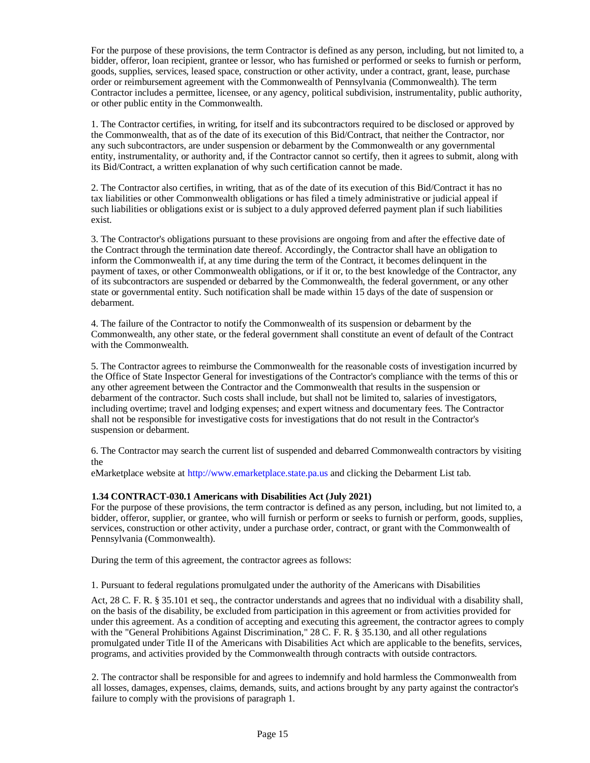For the purpose of these provisions, the term Contractor is defined as any person, including, but not limited to, a bidder, offeror, loan recipient, grantee or lessor, who has furnished or performed or seeks to furnish or perform, goods, supplies, services, leased space, construction or other activity, under a contract, grant, lease, purchase order or reimbursement agreement with the Commonwealth of Pennsylvania (Commonwealth). The term Contractor includes a permittee, licensee, or any agency, political subdivision, instrumentality, public authority, or other public entity in the Commonwealth.

1. The Contractor certifies, in writing, for itself and its subcontractors required to be disclosed or approved by the Commonwealth, that as of the date of its execution of this Bid/Contract, that neither the Contractor, nor any such subcontractors, are under suspension or debarment by the Commonwealth or any governmental entity, instrumentality, or authority and, if the Contractor cannot so certify, then it agrees to submit, along with its Bid/Contract, a written explanation of why such certification cannot be made.

2. The Contractor also certifies, in writing, that as of the date of its execution of this Bid/Contract it has no tax liabilities or other Commonwealth obligations or has filed a timely administrative or judicial appeal if such liabilities or obligations exist or is subject to a duly approved deferred payment plan if such liabilities exist.

3. The Contractor's obligations pursuant to these provisions are ongoing from and after the effective date of the Contract through the termination date thereof. Accordingly, the Contractor shall have an obligation to inform the Commonwealth if, at any time during the term of the Contract, it becomes delinquent in the payment of taxes, or other Commonwealth obligations, or if it or, to the best knowledge of the Contractor, any of its subcontractors are suspended or debarred by the Commonwealth, the federal government, or any other state or governmental entity. Such notification shall be made within 15 days of the date of suspension or debarment.

4. The failure of the Contractor to notify the Commonwealth of its suspension or debarment by the Commonwealth, any other state, or the federal government shall constitute an event of default of the Contract with the Commonwealth.

5. The Contractor agrees to reimburse the Commonwealth for the reasonable costs of investigation incurred by the Office of State Inspector General for investigations of the Contractor's compliance with the terms of this or any other agreement between the Contractor and the Commonwealth that results in the suspension or debarment of the contractor. Such costs shall include, but shall not be limited to, salaries of investigators, including overtime; travel and lodging expenses; and expert witness and documentary fees. The Contractor shall not be responsible for investigative costs for investigations that do not result in the Contractor's suspension or debarment.

6. The Contractor may search the current list of suspended and debarred Commonwealth contractors by visiting the

eMarketplace website at [http://www.emarketplace.state.pa.us a](http://www.emarketplace.state.pa.us/)nd clicking the Debarment List tab.

#### <span id="page-14-0"></span>**1.34 CONTRACT-030.1 Americans with Disabilities Act (July 2021)**

For the purpose of these provisions, the term contractor is defined as any person, including, but not limited to, a bidder, offeror, supplier, or grantee, who will furnish or perform or seeks to furnish or perform, goods, supplies, services, construction or other activity, under a purchase order, contract, or grant with the Commonwealth of Pennsylvania (Commonwealth).

During the term of this agreement, the contractor agrees as follows:

1. Pursuant to federal regulations promulgated under the authority of the Americans with Disabilities

Act, 28 C. F. R. § 35.101 et seq., the contractor understands and agrees that no individual with a disability shall, on the basis of the disability, be excluded from participation in this agreement or from activities provided for under this agreement. As a condition of accepting and executing this agreement, the contractor agrees to comply with the "General Prohibitions Against Discrimination," 28 C. F. R. § 35.130, and all other regulations promulgated under Title II of the Americans with Disabilities Act which are applicable to the benefits, services, programs, and activities provided by the Commonwealth through contracts with outside contractors.

2. The contractor shall be responsible for and agrees to indemnify and hold harmless the Commonwealth from all losses, damages, expenses, claims, demands, suits, and actions brought by any party against the contractor's failure to comply with the provisions of paragraph 1.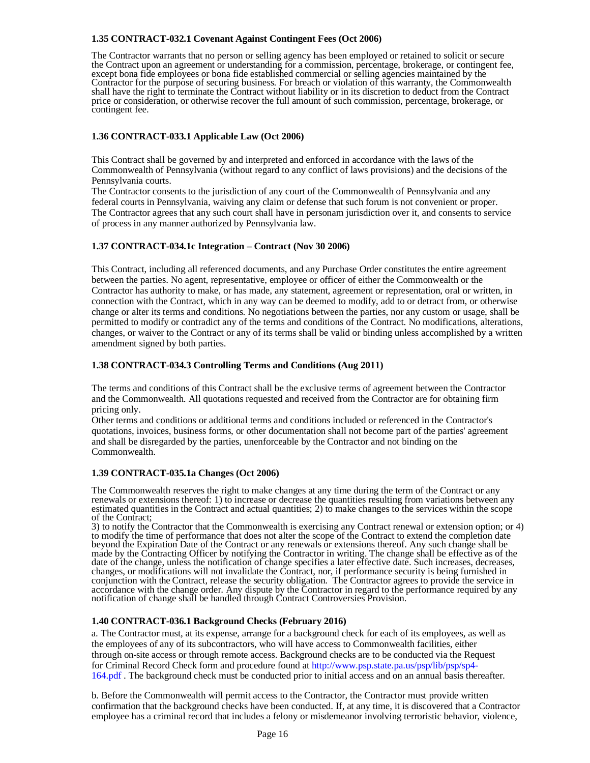## <span id="page-15-0"></span>**1.35 CONTRACT-032.1 Covenant Against Contingent Fees (Oct 2006)**

The Contractor warrants that no person or selling agency has been employed or retained to solicit or secure the Contract upon an agreement or understanding for a commission, percentage, brokerage, or contingent fee, except bona fide employees or bona fide established commercial or selling agencies maintained by the Contractor for the purpose of securing business. For breach or violation of this warranty, the Commonwealth shall have the right to terminate the Contract without liability or in its discretion to deduct from the Contract price or consideration, or otherwise recover the full amount of such commission, percentage, brokerage, or contingent fee.

## <span id="page-15-1"></span>**1.36 CONTRACT-033.1 Applicable Law (Oct 2006)**

This Contract shall be governed by and interpreted and enforced in accordance with the laws of the Commonwealth of Pennsylvania (without regard to any conflict of laws provisions) and the decisions of the Pennsylvania courts.

The Contractor consents to the jurisdiction of any court of the Commonwealth of Pennsylvania and any federal courts in Pennsylvania, waiving any claim or defense that such forum is not convenient or proper. The Contractor agrees that any such court shall have in personam jurisdiction over it, and consents to service of process in any manner authorized by Pennsylvania law.

## <span id="page-15-2"></span>**1.37 CONTRACT-034.1c Integration – Contract (Nov 30 2006)**

This Contract, including all referenced documents, and any Purchase Order constitutes the entire agreement between the parties. No agent, representative, employee or officer of either the Commonwealth or the Contractor has authority to make, or has made, any statement, agreement or representation, oral or written, in connection with the Contract, which in any way can be deemed to modify, add to or detract from, or otherwise change or alter its terms and conditions. No negotiations between the parties, nor any custom or usage, shall be permitted to modify or contradict any of the terms and conditions of the Contract. No modifications, alterations, changes, or waiver to the Contract or any of its terms shall be valid or binding unless accomplished by a written amendment signed by both parties.

## <span id="page-15-3"></span>**1.38 CONTRACT-034.3 Controlling Terms and Conditions (Aug 2011)**

The terms and conditions of this Contract shall be the exclusive terms of agreement between the Contractor and the Commonwealth. All quotations requested and received from the Contractor are for obtaining firm pricing only.

Other terms and conditions or additional terms and conditions included or referenced in the Contractor's quotations, invoices, business forms, or other documentation shall not become part of the parties' agreement and shall be disregarded by the parties, unenforceable by the Contractor and not binding on the Commonwealth.

#### <span id="page-15-4"></span>**1.39 CONTRACT-035.1a Changes (Oct 2006)**

The Commonwealth reserves the right to make changes at any time during the term of the Contract or any renewals or extensions thereof: 1) to increase or decrease the quantities resulting from variations between any estimated quantities in the Contract and actual quantities; 2) to make changes to the services within the scope of the Contract;

3) to notify the Contractor that the Commonwealth is exercising any Contract renewal or extension option; or 4) to modify the time of performance that does not alter the scope of the Contract to extend the completion date beyond the Expiration Date of the Contract or any renewals or extensions thereof. Any such change shall be made by the Contracting Officer by notifying the Contractor in writing. The change shall be effective as of the date of the change, unless the notification of change specifies a later effective date. Such increases, decreases, changes, or modifications will not invalidate the Contract, nor, if performance security is being furnished in conjunction with the Contract, release the security obligation. The Contractor agrees to provide the service in accordance with the change order. Any dispute by the Contractor in regard to the performance required by any notification of change shall be handled through Contract Controversies Provision.

## <span id="page-15-5"></span>**1.40 CONTRACT-036.1 Background Checks (February 2016)**

a. The Contractor must, at its expense, arrange for a background check for each of its employees, as well as the employees of any of its subcontractors, who will have access to Commonwealth facilities, either through on-site access or through remote access. Background checks are to be conducted via the Request for Criminal Record Check form and procedure found a[t http://www.psp.state.pa.us/psp/lib/psp/sp4-](http://www.psp.state.pa.us/psp/lib/psp/sp4-164.pdf) [164.pdf .](http://www.psp.state.pa.us/psp/lib/psp/sp4-164.pdf) The background check must be conducted prior to initial access and on an annual basis thereafter.

b. Before the Commonwealth will permit access to the Contractor, the Contractor must provide written confirmation that the background checks have been conducted. If, at any time, it is discovered that a Contractor employee has a criminal record that includes a felony or misdemeanor involving terroristic behavior, violence,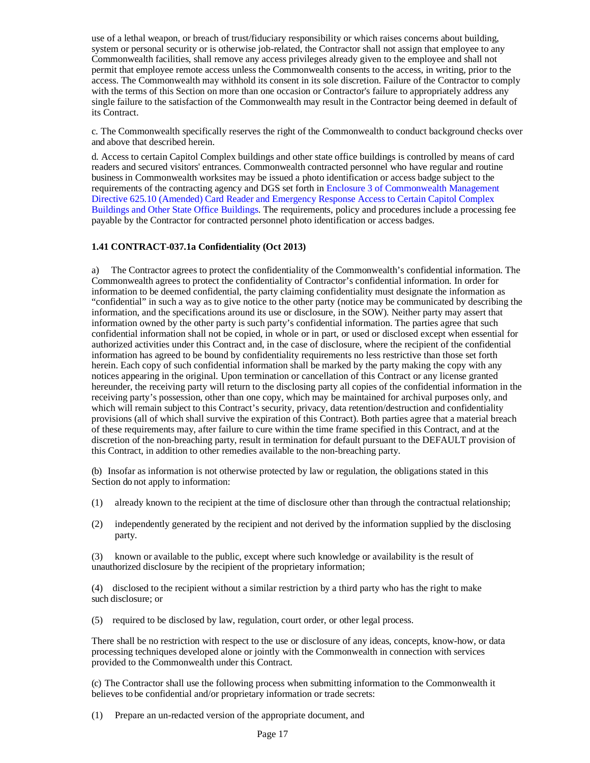use of a lethal weapon, or breach of trust/fiduciary responsibility or which raises concerns about building, system or personal security or is otherwise job-related, the Contractor shall not assign that employee to any Commonwealth facilities, shall remove any access privileges already given to the employee and shall not permit that employee remote access unless the Commonwealth consents to the access, in writing, prior to the access. The Commonwealth may withhold its consent in its sole discretion. Failure of the Contractor to comply with the terms of this Section on more than one occasion or Contractor's failure to appropriately address any single failure to the satisfaction of the Commonwealth may result in the Contractor being deemed in default of its Contract.

c. The Commonwealth specifically reserves the right of the Commonwealth to conduct background checks over and above that described herein.

d. Access to certain Capitol Complex buildings and other state office buildings is controlled by means of card readers and secured visitors' entrances. Commonwealth contracted personnel who have regular and routine business in Commonwealth worksites may be issued a photo identification or access badge subject to the requirements of the contracting agency and DGS set forth in Enclosure 3 of Commonwealth Management Directive 625.10 (Amended) Card Reader and Emergency Response Access to Certain Capitol Complex Buildings and Other State Office Buildings. The requirements, policy and procedures include a processing fee payable by the Contractor for contracted personnel photo identification or access badges.

## <span id="page-16-0"></span>**1.41 CONTRACT-037.1a Confidentiality (Oct 2013)**

a) The Contractor agrees to protect the confidentiality of the Commonwealth's confidential information. The Commonwealth agrees to protect the confidentiality of Contractor's confidential information. In order for information to be deemed confidential, the party claiming confidentiality must designate the information as "confidential" in such a way as to give notice to the other party (notice may be communicated by describing the information, and the specifications around its use or disclosure, in the SOW). Neither party may assert that information owned by the other party is such party's confidential information. The parties agree that such confidential information shall not be copied, in whole or in part, or used or disclosed except when essential for authorized activities under this Contract and, in the case of disclosure, where the recipient of the confidential information has agreed to be bound by confidentiality requirements no less restrictive than those set forth herein. Each copy of such confidential information shall be marked by the party making the copy with any notices appearing in the original. Upon termination or cancellation of this Contract or any license granted hereunder, the receiving party will return to the disclosing party all copies of the confidential information in the receiving party's possession, other than one copy, which may be maintained for archival purposes only, and which will remain subject to this Contract's security, privacy, data retention/destruction and confidentiality provisions (all of which shall survive the expiration of this Contract). Both parties agree that a material breach of these requirements may, after failure to cure within the time frame specified in this Contract, and at the discretion of the non-breaching party, result in termination for default pursuant to the DEFAULT provision of this Contract, in addition to other remedies available to the non-breaching party.

(b) Insofar as information is not otherwise protected by law or regulation, the obligations stated in this Section do not apply to information:

- (1) already known to the recipient at the time of disclosure other than through the contractual relationship;
- (2) independently generated by the recipient and not derived by the information supplied by the disclosing party.

(3) known or available to the public, except where such knowledge or availability is the result of unauthorized disclosure by the recipient of the proprietary information;

(4) disclosed to the recipient without a similar restriction by a third party who has the right to make such disclosure; or

(5) required to be disclosed by law, regulation, court order, or other legal process.

There shall be no restriction with respect to the use or disclosure of any ideas, concepts, know-how, or data processing techniques developed alone or jointly with the Commonwealth in connection with services provided to the Commonwealth under this Contract.

(c) The Contractor shall use the following process when submitting information to the Commonwealth it believes to be confidential and/or proprietary information or trade secrets:

(1) Prepare an un-redacted version of the appropriate document, and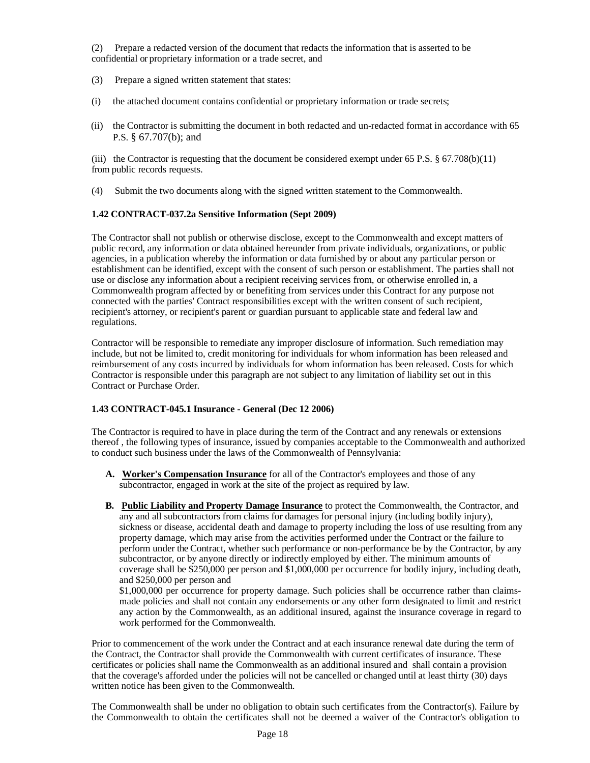(2) Prepare a redacted version of the document that redacts the information that is asserted to be confidential or proprietary information or a trade secret, and

- (3) Prepare a signed written statement that states:
- (i) the attached document contains confidential or proprietary information or trade secrets;
- (ii) the Contractor is submitting the document in both redacted and un-redacted format in accordance with 65 P.S. § 67.707(b); and

(iii) the Contractor is requesting that the document be considered exempt under 65 P.S.  $\S 67.708(b)(11)$ from public records requests.

(4) Submit the two documents along with the signed written statement to the Commonwealth.

## <span id="page-17-0"></span>**1.42 CONTRACT-037.2a Sensitive Information (Sept 2009)**

The Contractor shall not publish or otherwise disclose, except to the Commonwealth and except matters of public record, any information or data obtained hereunder from private individuals, organizations, or public agencies, in a publication whereby the information or data furnished by or about any particular person or establishment can be identified, except with the consent of such person or establishment. The parties shall not use or disclose any information about a recipient receiving services from, or otherwise enrolled in, a Commonwealth program affected by or benefiting from services under this Contract for any purpose not connected with the parties' Contract responsibilities except with the written consent of such recipient, recipient's attorney, or recipient's parent or guardian pursuant to applicable state and federal law and regulations.

Contractor will be responsible to remediate any improper disclosure of information. Such remediation may include, but not be limited to, credit monitoring for individuals for whom information has been released and reimbursement of any costs incurred by individuals for whom information has been released. Costs for which Contractor is responsible under this paragraph are not subject to any limitation of liability set out in this Contract or Purchase Order.

## <span id="page-17-1"></span>**1.43 CONTRACT-045.1 Insurance - General (Dec 12 2006)**

The Contractor is required to have in place during the term of the Contract and any renewals or extensions thereof , the following types of insurance, issued by companies acceptable to the Commonwealth and authorized to conduct such business under the laws of the Commonwealth of Pennsylvania:

- **A. Worker's Compensation Insurance** for all of the Contractor's employees and those of any subcontractor, engaged in work at the site of the project as required by law.
- **B. Public Liability and Property Damage Insurance** to protect the Commonwealth, the Contractor, and any and all subcontractors from claims for damages for personal injury (including bodily injury), sickness or disease, accidental death and damage to property including the loss of use resulting from any property damage, which may arise from the activities performed under the Contract or the failure to perform under the Contract, whether such performance or non-performance be by the Contractor, by any subcontractor, or by anyone directly or indirectly employed by either. The minimum amounts of coverage shall be \$250,000 per person and \$1,000,000 per occurrence for bodily injury, including death, and \$250,000 per person and

\$1,000,000 per occurrence for property damage. Such policies shall be occurrence rather than claimsmade policies and shall not contain any endorsements or any other form designated to limit and restrict any action by the Commonwealth, as an additional insured, against the insurance coverage in regard to work performed for the Commonwealth.

Prior to commencement of the work under the Contract and at each insurance renewal date during the term of the Contract, the Contractor shall provide the Commonwealth with current certificates of insurance. These certificates or policies shall name the Commonwealth as an additional insured and shall contain a provision that the coverage's afforded under the policies will not be cancelled or changed until at least thirty (30) days written notice has been given to the Commonwealth.

The Commonwealth shall be under no obligation to obtain such certificates from the Contractor(s). Failure by the Commonwealth to obtain the certificates shall not be deemed a waiver of the Contractor's obligation to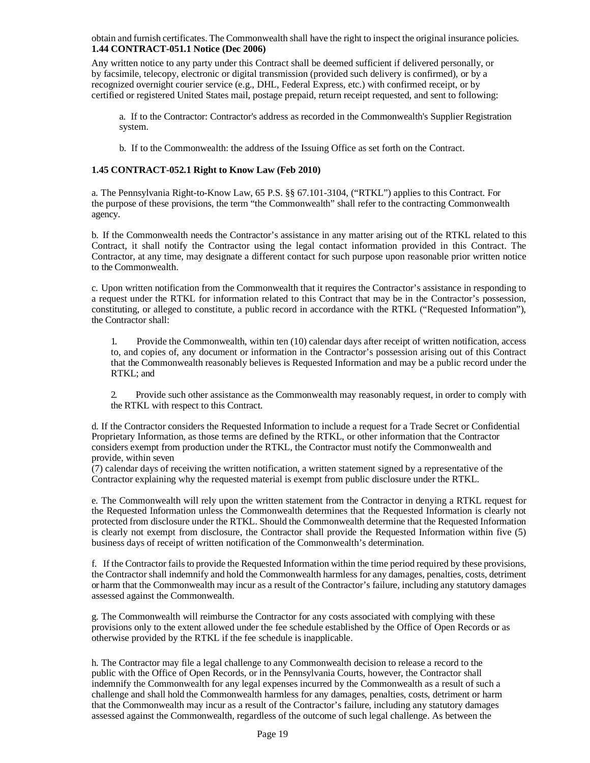<span id="page-18-0"></span>obtain and furnish certificates. The Commonwealth shall have the right to inspect the original insurance policies. **1.44 CONTRACT-051.1 Notice (Dec 2006)**

Any written notice to any party under this Contract shall be deemed sufficient if delivered personally, or by facsimile, telecopy, electronic or digital transmission (provided such delivery is confirmed), or by a recognized overnight courier service (e.g., DHL, Federal Express, etc.) with confirmed receipt, or by certified or registered United States mail, postage prepaid, return receipt requested, and sent to following:

a. If to the Contractor: Contractor's address as recorded in the Commonwealth's Supplier Registration system.

b. If to the Commonwealth: the address of the Issuing Office as set forth on the Contract.

## <span id="page-18-1"></span>**1.45 CONTRACT-052.1 Right to Know Law (Feb 2010)**

a. The Pennsylvania Right-to-Know Law, 65 P.S. §§ 67.101-3104, ("RTKL") applies to this Contract. For the purpose of these provisions, the term "the Commonwealth" shall refer to the contracting Commonwealth agency.

b. If the Commonwealth needs the Contractor's assistance in any matter arising out of the RTKL related to this Contract, it shall notify the Contractor using the legal contact information provided in this Contract. The Contractor, at any time, may designate a different contact for such purpose upon reasonable prior written notice to the Commonwealth.

c. Upon written notification from the Commonwealth that it requires the Contractor's assistance in responding to a request under the RTKL for information related to this Contract that may be in the Contractor's possession, constituting, or alleged to constitute, a public record in accordance with the RTKL ("Requested Information"), the Contractor shall:

1. Provide the Commonwealth, within ten (10) calendar days after receipt of written notification, access to, and copies of, any document or information in the Contractor's possession arising out of this Contract that the Commonwealth reasonably believes is Requested Information and may be a public record under the RTKL; and

2. Provide such other assistance as the Commonwealth may reasonably request, in order to comply with the RTKL with respect to this Contract.

d. If the Contractor considers the Requested Information to include a request for a Trade Secret or Confidential Proprietary Information, as those terms are defined by the RTKL, or other information that the Contractor considers exempt from production under the RTKL, the Contractor must notify the Commonwealth and provide, within seven

(7) calendar days of receiving the written notification, a written statement signed by a representative of the Contractor explaining why the requested material is exempt from public disclosure under the RTKL.

e. The Commonwealth will rely upon the written statement from the Contractor in denying a RTKL request for the Requested Information unless the Commonwealth determines that the Requested Information is clearly not protected from disclosure under the RTKL. Should the Commonwealth determine that the Requested Information is clearly not exempt from disclosure, the Contractor shall provide the Requested Information within five (5) business days of receipt of written notification of the Commonwealth's determination.

f. If the Contractor fails to provide the Requested Information within the time period required by these provisions, the Contractor shall indemnify and hold the Commonwealth harmless for any damages, penalties, costs, detriment or harm that the Commonwealth may incur as a result of the Contractor's failure, including any statutory damages assessed against the Commonwealth.

g. The Commonwealth will reimburse the Contractor for any costs associated with complying with these provisions only to the extent allowed under the fee schedule established by the Office of Open Records or as otherwise provided by the RTKL if the fee schedule is inapplicable.

h. The Contractor may file a legal challenge to any Commonwealth decision to release a record to the public with the Office of Open Records, or in the Pennsylvania Courts, however, the Contractor shall indemnify the Commonwealth for any legal expenses incurred by the Commonwealth as a result of such a challenge and shall hold the Commonwealth harmless for any damages, penalties, costs, detriment or harm that the Commonwealth may incur as a result of the Contractor's failure, including any statutory damages assessed against the Commonwealth, regardless of the outcome of such legal challenge. As between the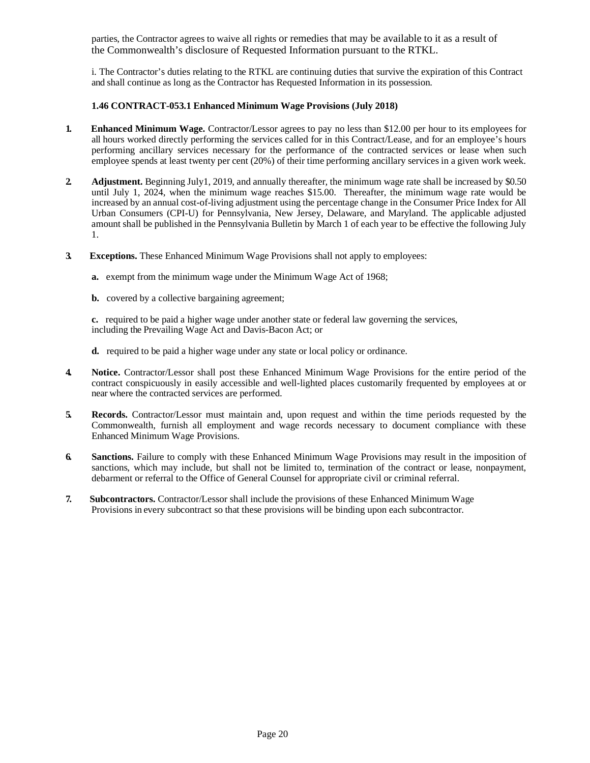parties, the Contractor agrees to waive all rights or remedies that may be available to it as a result of the Commonwealth's disclosure of Requested Information pursuant to the RTKL.

i. The Contractor's duties relating to the RTKL are continuing duties that survive the expiration of this Contract and shall continue as long as the Contractor has Requested Information in its possession.

## **1.46 CONTRACT-053.1 Enhanced Minimum Wage Provisions (July 2018)**

- <span id="page-19-0"></span>**1. Enhanced Minimum Wage.** Contractor/Lessor agrees to pay no less than \$12.00 per hour to its employees for all hours worked directly performing the services called for in this Contract/Lease, and for an employee's hours performing ancillary services necessary for the performance of the contracted services or lease when such employee spends at least twenty per cent (20%) of their time performing ancillary services in a given work week.
- **2. Adjustment.** Beginning July1, 2019, and annually thereafter, the minimum wage rate shall be increased by \$0.50 until July 1, 2024, when the minimum wage reaches \$15.00. Thereafter, the minimum wage rate would be increased by an annual cost-of-living adjustment using the percentage change in the Consumer Price Index for All Urban Consumers (CPI-U) for Pennsylvania, New Jersey, Delaware, and Maryland. The applicable adjusted amount shall be published in the Pennsylvania Bulletin by March 1 of each year to be effective the following July 1.
- **3. Exceptions.** These Enhanced Minimum Wage Provisions shall not apply to employees:
	- **a.** exempt from the minimum wage under the Minimum Wage Act of 1968;
	- **b.** covered by a collective bargaining agreement;

**c.** required to be paid a higher wage under another state or federal law governing the services, including the Prevailing Wage Act and Davis-Bacon Act; or

- **d.** required to be paid a higher wage under any state or local policy or ordinance.
- **4. Notice.** Contractor/Lessor shall post these Enhanced Minimum Wage Provisions for the entire period of the contract conspicuously in easily accessible and well-lighted places customarily frequented by employees at or near where the contracted services are performed.
- **5. Records.** Contractor/Lessor must maintain and, upon request and within the time periods requested by the Commonwealth, furnish all employment and wage records necessary to document compliance with these Enhanced Minimum Wage Provisions.
- **6. Sanctions.** Failure to comply with these Enhanced Minimum Wage Provisions may result in the imposition of sanctions, which may include, but shall not be limited to, termination of the contract or lease, nonpayment, debarment or referral to the Office of General Counsel for appropriate civil or criminal referral.
- **7. Subcontractors.** Contractor/Lessor shall include the provisions of these Enhanced Minimum Wage Provisions in every subcontract so that these provisions will be binding upon each subcontractor.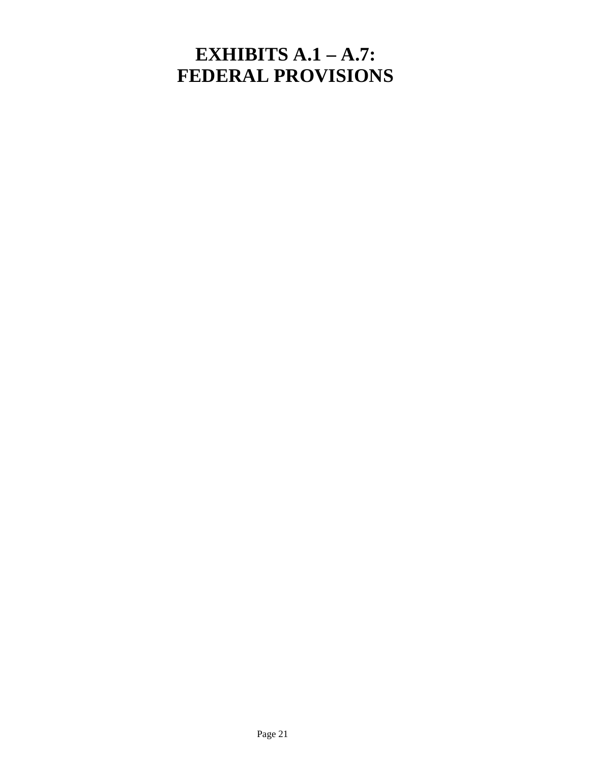# **EXHIBITS A.1 – A.7: FEDERAL PROVISIONS**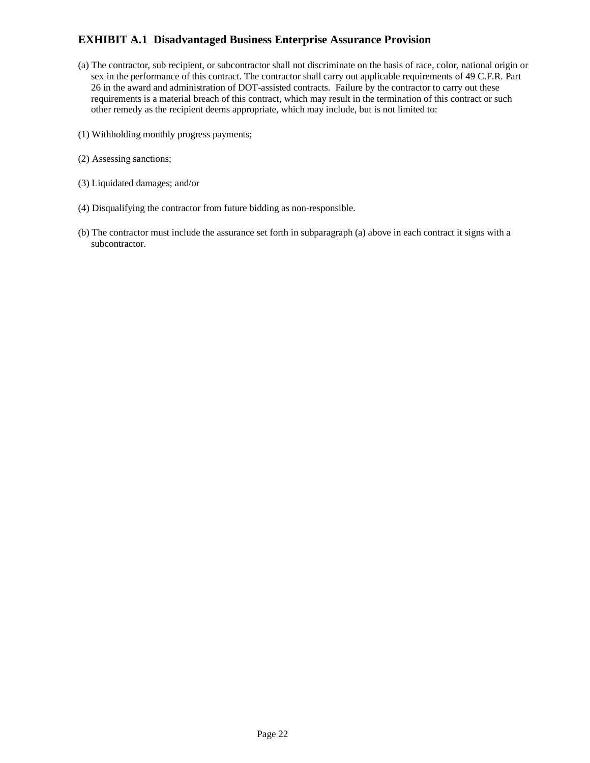# **EXHIBIT A.1 Disadvantaged Business Enterprise Assurance Provision**

- (a) The contractor, sub recipient, or subcontractor shall not discriminate on the basis of race, color, national origin or sex in the performance of this contract. The contractor shall carry out applicable requirements of 49 C.F.R. Part 26 in the award and administration of DOT-assisted contracts. Failure by the contractor to carry out these requirements is a material breach of this contract, which may result in the termination of this contract or such other remedy as the recipient deems appropriate, which may include, but is not limited to:
- (1) Withholding monthly progress payments;
- (2) Assessing sanctions;
- (3) Liquidated damages; and/or
- (4) Disqualifying the contractor from future bidding as non-responsible.
- (b) The contractor must include the assurance set forth in subparagraph (a) above in each contract it signs with a subcontractor.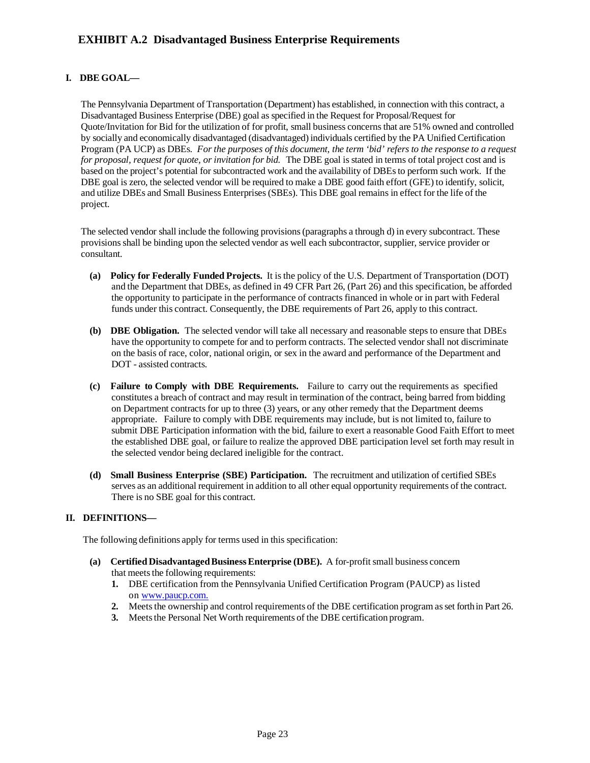## **I. DBE GOAL—**

The Pennsylvania Department of Transportation (Department) has established, in connection with this contract, a Disadvantaged Business Enterprise (DBE) goal as specified in the Request for Proposal/Request for Quote/Invitation for Bid for the utilization of for profit, small business concernsthat are 51% owned and controlled by socially and economically disadvantaged (disadvantaged) individuals certified by the PA Unified Certification Program (PA UCP) as DBEs. *For the purposes of this document, the term 'bid' refers to the response to a request for proposal, request for quote, or invitation for bid.* The DBE goal is stated in terms of total project cost and is based on the project's potential for subcontracted work and the availability of DBEsto perform such work. If the DBE goal is zero, the selected vendor will be required to make a DBE good faith effort (GFE) to identify, solicit, and utilize DBEs and Small Business Enterprises(SBEs). This DBE goal remains in effect for the life of the project.

The selected vendor shall include the following provisions(paragraphs a through d) in every subcontract. These provisionsshall be binding upon the selected vendor as well each subcontractor, supplier, service provider or consultant.

- **(a) Policy for Federally Funded Projects.** It isthe policy of the U.S. Department of Transportation (DOT) and the Department that DBEs, as defined in 49 CFR Part 26, (Part 26) and this specification, be afforded the opportunity to participate in the performance of contracts financed in whole or in part with Federal funds under this contract. Consequently, the DBE requirements of Part 26, apply to this contract.
- **(b) DBE Obligation.** The selected vendor will take all necessary and reasonable steps to ensure that DBEs have the opportunity to compete for and to perform contracts. The selected vendor shall not discriminate on the basis of race, color, national origin, or sex in the award and performance of the Department and DOT - assisted contracts.
- **(c) Failure to Comply with DBE Requirements.** Failure to carry out the requirements as specified constitutes a breach of contract and may result in termination of the contract, being barred from bidding on Department contracts for up to three (3) years, or any other remedy that the Department deems appropriate. Failure to comply with DBE requirements may include, but is not limited to, failure to submit DBE Participation information with the bid, failure to exert a reasonable Good Faith Effort to meet the established DBE goal, or failure to realize the approved DBE participation level set forth may result in the selected vendor being declared ineligible for the contract.
- **(d) Small Business Enterprise (SBE) Participation.** The recruitment and utilization of certified SBEs serves as an additional requirement in addition to all other equal opportunity requirements of the contract. There is no SBE goal for this contract.

## **II. DEFINITIONS—**

The following definitions apply for terms used in this specification:

- **(a) Certified Disadvantaged Business Enterprise (DBE).** A for-profit small business concern that meets the following requirements:
	- **1.** DBE certification from the Pennsylvania Unified Certification Program (PAUCP) as listed on [www.paucp.com.](http://www.paucp.com/)
	- **2.** Meets the ownership and control requirements of the DBE certification program as set forth in Part 26.
	- **3.** Meets the Personal Net Worth requirements of the DBE certification program.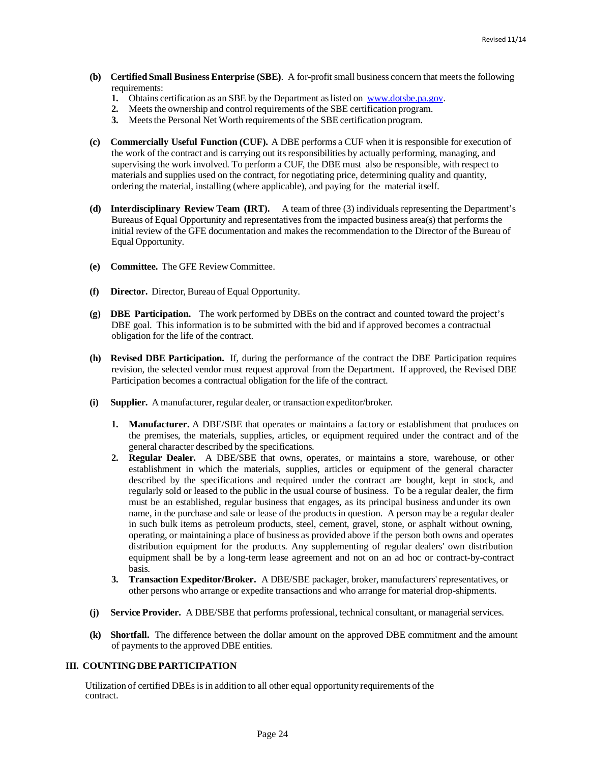- **(b) Certified Small Business Enterprise (SBE)**. A for-profit small business concern that meetsthe following requirements:
	- **1.** Obtains certification as an SBE by the Department aslisted on [www.dotsbe.pa.gov.](http://www.dotsbe.pa.gov/)
	- **2.** Meets the ownership and control requirements of the SBE certification program.
	- **3.** Meets the Personal Net Worth requirements of the SBE certification program.
- **(c) Commercially Useful Function (CUF).** A DBE performs a CUF when it is responsible for execution of the work of the contract and is carrying out itsresponsibilities by actually performing, managing, and supervising the work involved. To perform a CUF, the DBE must also be responsible, with respect to materials and supplies used on the contract, for negotiating price, determining quality and quantity, ordering the material, installing (where applicable), and paying for the material itself.
- **(d) Interdisciplinary Review Team (IRT).** A team of three (3) individuals representing the Department's Bureaus of Equal Opportunity and representatives from the impacted business area(s) that performsthe initial review of the GFE documentation and makes the recommendation to the Director of the Bureau of Equal Opportunity.
- **(e) Committee.** The GFE Review Committee.
- **(f) Director.** Director, Bureau of Equal Opportunity.
- **(g) DBE Participation.** The work performed by DBEs on the contract and counted toward the project's DBE goal. This information is to be submitted with the bid and if approved becomes a contractual obligation for the life of the contract.
- **(h) Revised DBE Participation.** If, during the performance of the contract the DBE Participation requires revision, the selected vendor must request approval from the Department. If approved, the Revised DBE Participation becomes a contractual obligation for the life of the contract.
- **(i) Supplier.** A manufacturer, regular dealer, or transaction expeditor/broker.
	- **1. Manufacturer.** A DBE/SBE that operates or maintains a factory or establishment that produces on the premises, the materials, supplies, articles, or equipment required under the contract and of the general character described by the specifications.
	- **2. Regular Dealer.** A DBE/SBE that owns, operates, or maintains a store, warehouse, or other establishment in which the materials, supplies, articles or equipment of the general character described by the specifications and required under the contract are bought, kept in stock, and regularly sold or leased to the public in the usual course of business. To be a regular dealer, the firm must be an established, regular business that engages, as its principal business and under its own name, in the purchase and sale or lease of the products in question. A person may be a regular dealer in such bulk items as petroleum products, steel, cement, gravel, stone, or asphalt without owning, operating, or maintaining a place of business as provided above if the person both owns and operates distribution equipment for the products. Any supplementing of regular dealers' own distribution equipment shall be by a long-term lease agreement and not on an ad hoc or contract-by-contract basis.
	- **3. Transaction Expeditor/Broker.** A DBE/SBE packager, broker, manufacturers' representatives, or other persons who arrange or expedite transactions and who arrange for material drop-shipments.
- **(j) Service Provider.** A DBE/SBE that performs professional, technical consultant, or managerialservices.
- **(k) Shortfall.** The difference between the dollar amount on the approved DBE commitment and the amount of payments to the approved DBE entities.

#### **III. COUNTINGDBEPARTICIPATION**

Utilization of certified DBEsis in addition to all other equal opportunity requirements of the contract.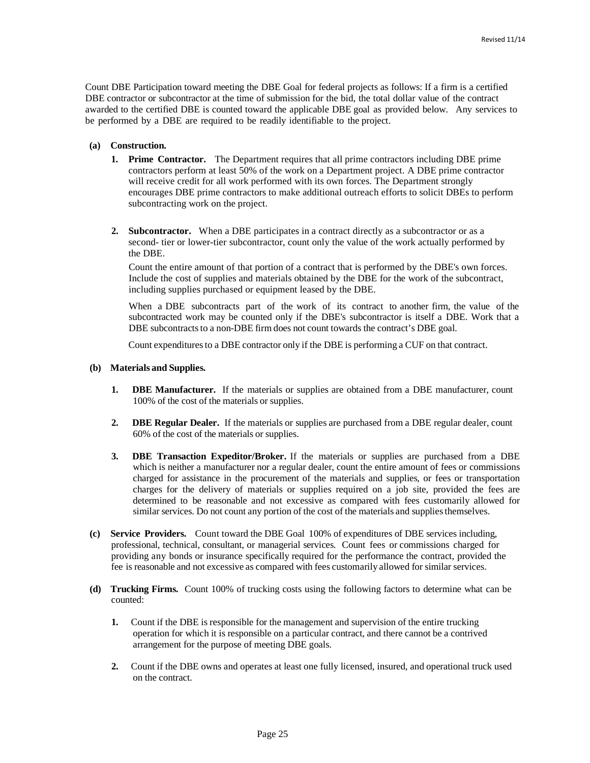Count DBE Participation toward meeting the DBE Goal for federal projects as follows: If a firm is a certified DBE contractor or subcontractor at the time of submission for the bid, the total dollar value of the contract awarded to the certified DBE is counted toward the applicable DBE goal as provided below. Any services to be performed by a DBE are required to be readily identifiable to the project.

#### **(a) Construction.**

- **1. Prime Contractor.** The Department requires that all prime contractors including DBE prime contractors perform at least 50% of the work on a Department project. A DBE prime contractor will receive credit for all work performed with its own forces. The Department strongly encourages DBE prime contractors to make additional outreach efforts to solicit DBEs to perform subcontracting work on the project.
- **2. Subcontractor.** When a DBE participates in a contract directly as a subcontractor or as a second- tier or lower-tier subcontractor, count only the value of the work actually performed by the DBE.

Count the entire amount of that portion of a contract that is performed by the DBE's own forces. Include the cost of supplies and materials obtained by the DBE for the work of the subcontract, including supplies purchased or equipment leased by the DBE.

When a DBE subcontracts part of the work of its contract to another firm, the value of the subcontracted work may be counted only if the DBE's subcontractor is itself a DBE. Work that a DBE subcontracts to a non-DBE firm does not count towards the contract's DBE goal.

Count expendituresto a DBE contractor only if the DBE is performing a CUF on that contract.

#### **(b) Materials and Supplies.**

- **1. DBE Manufacturer.** If the materials or supplies are obtained from a DBE manufacturer, count 100% of the cost of the materials or supplies.
- **2. DBE Regular Dealer.** If the materials or supplies are purchased from a DBE regular dealer, count 60% of the cost of the materials or supplies.
- **3. DBE Transaction Expeditor/Broker.** If the materials or supplies are purchased from a DBE which is neither a manufacturer nor a regular dealer, count the entire amount of fees or commissions charged for assistance in the procurement of the materials and supplies, or fees or transportation charges for the delivery of materials or supplies required on a job site, provided the fees are determined to be reasonable and not excessive as compared with fees customarily allowed for similar services. Do not count any portion of the cost of the materials and supplies themselves.
- **(c) Service Providers.** Count toward the DBE Goal 100% of expenditures of DBE services including, professional, technical, consultant, or managerial services. Count fees or commissions charged for providing any bonds or insurance specifically required for the performance the contract, provided the fee is reasonable and not excessive as compared with fees customarily allowed for similar services.
- **(d) Trucking Firms.** Count 100% of trucking costs using the following factors to determine what can be counted:
	- **1.** Count if the DBE is responsible for the management and supervision of the entire trucking operation for which it is responsible on a particular contract, and there cannot be a contrived arrangement for the purpose of meeting DBE goals.
	- **2.** Count if the DBE owns and operates at least one fully licensed, insured, and operational truck used on the contract.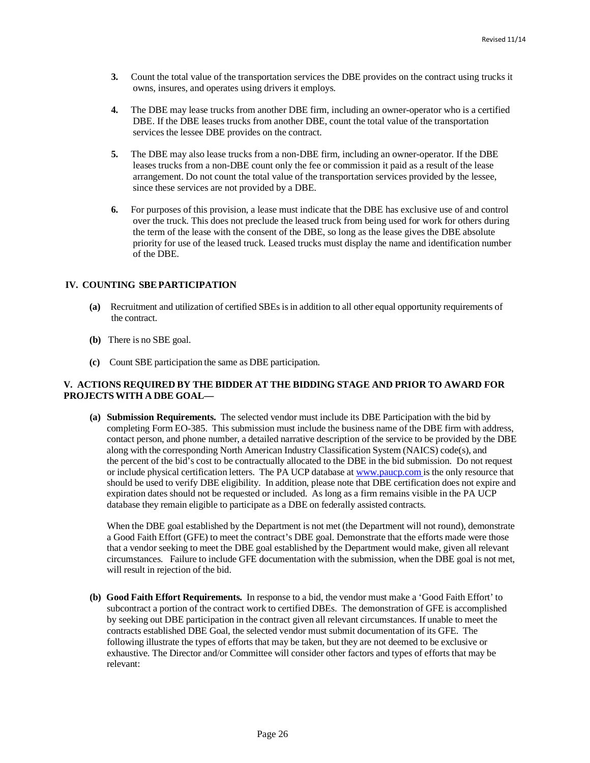- **3.** Count the total value of the transportation services the DBE provides on the contract using trucks it owns, insures, and operates using drivers it employs.
- **4.** The DBE may lease trucks from another DBE firm, including an owner-operator who is a certified DBE. If the DBE leases trucks from another DBE, count the total value of the transportation services the lessee DBE provides on the contract.
- **5.** The DBE may also lease trucks from a non-DBE firm, including an owner-operator. If the DBE leases trucks from a non-DBE count only the fee or commission it paid as a result of the lease arrangement. Do not count the total value of the transportation services provided by the lessee, since these services are not provided by a DBE.
- **6.** For purposes of this provision, a lease must indicate that the DBE has exclusive use of and control over the truck. This does not preclude the leased truck from being used for work for others during the term of the lease with the consent of the DBE, so long as the lease gives the DBE absolute priority for use of the leased truck. Leased trucks must display the name and identification number of the DBE.

#### **IV. COUNTING SBEPARTICIPATION**

- **(a)** Recruitment and utilization of certified SBEsisin addition to all other equal opportunity requirements of the contract.
- **(b)** There is no SBE goal.
- **(c)** Count SBE participation the same as DBE participation.

#### **V. ACTIONS REQUIRED BY THE BIDDER AT THE BIDDING STAGE AND PRIOR TO AWARD FOR PROJECTSWITH A DBE GOAL—**

**(a) Submission Requirements.** The selected vendor must include its DBE Participation with the bid by completing Form EO-385. This submission must include the business name of the DBE firm with address, contact person, and phone number, a detailed narrative description of the service to be provided by the DBE along with the corresponding North American Industry Classification System (NAICS) code(s), and the percent of the bid's cost to be contractually allocated to the DBE in the bid submission. Do not request or include physical certification letters. The PA UCP database at [www.paucp.com](http://www.paucp.com/) is the only resource that should be used to verify DBE eligibility. In addition, please note that DBE certification does not expire and expiration dates should not be requested or included. As long as a firm remains visible in the PA UCP database they remain eligible to participate as a DBE on federally assisted contracts.

When the DBE goal established by the Department is not met (the Department will not round), demonstrate a Good Faith Effort (GFE) to meet the contract's DBE goal. Demonstrate that the efforts made were those that a vendor seeking to meet the DBE goal established by the Department would make, given all relevant circumstances. Failure to include GFE documentation with the submission, when the DBE goal is not met, will result in rejection of the bid.

**(b) Good Faith Effort Requirements.** In response to a bid, the vendor must make a 'Good Faith Effort' to subcontract a portion of the contract work to certified DBEs. The demonstration of GFE is accomplished by seeking out DBE participation in the contract given all relevant circumstances. If unable to meet the contracts established DBE Goal, the selected vendor must submit documentation of its GFE. The following illustrate the types of efforts that may be taken, but they are not deemed to be exclusive or exhaustive. The Director and/or Committee will consider other factors and types of efforts that may be relevant: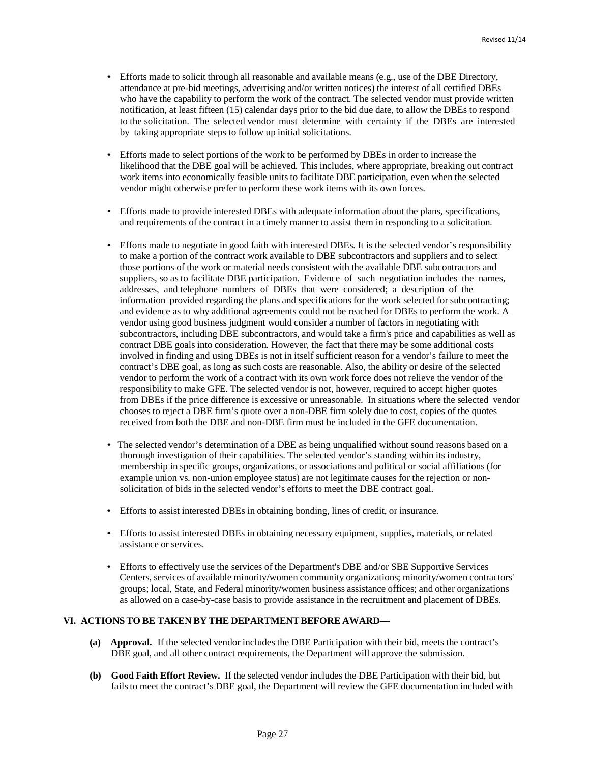- Efforts made to solicit through all reasonable and available means (e.g., use of the DBE Directory, attendance at pre-bid meetings, advertising and/or written notices) the interest of all certified DBEs who have the capability to perform the work of the contract. The selected vendor must provide written notification, at least fifteen (15) calendar days prior to the bid due date, to allow the DBEs to respond to the solicitation. The selected vendor must determine with certainty if the DBEs are interested by taking appropriate steps to follow up initial solicitations.
- Efforts made to select portions of the work to be performed by DBEs in order to increase the likelihood that the DBE goal will be achieved. This includes, where appropriate, breaking out contract work items into economically feasible units to facilitate DBE participation, even when the selected vendor might otherwise prefer to perform these work items with its own forces.
- Efforts made to provide interested DBEs with adequate information about the plans, specifications, and requirements of the contract in a timely manner to assist them in responding to a solicitation.
- Efforts made to negotiate in good faith with interested DBEs. It is the selected vendor's responsibility to make a portion of the contract work available to DBE subcontractors and suppliers and to select those portions of the work or material needs consistent with the available DBE subcontractors and suppliers, so as to facilitate DBE participation. Evidence of such negotiation includes the names, addresses, and telephone numbers of DBEs that were considered; a description of the information provided regarding the plans and specifications for the work selected for subcontracting; and evidence as to why additional agreements could not be reached for DBEs to perform the work. A vendor using good business judgment would consider a number of factors in negotiating with subcontractors, including DBE subcontractors, and would take a firm's price and capabilities as well as contract DBE goals into consideration. However, the fact that there may be some additional costs involved in finding and using DBEs is not in itself sufficient reason for a vendor's failure to meet the contract's DBE goal, as long as such costs are reasonable. Also, the ability or desire of the selected vendor to perform the work of a contract with its own work force does not relieve the vendor of the responsibility to make GFE. The selected vendor is not, however, required to accept higher quotes from DBEs if the price difference is excessive or unreasonable. In situations where the selected vendor chooses to reject a DBE firm's quote over a non-DBE firm solely due to cost, copies of the quotes received from both the DBE and non-DBE firm must be included in the GFE documentation.
- The selected vendor's determination of a DBE as being unqualified without sound reasons based on a thorough investigation of their capabilities. The selected vendor's standing within its industry, membership in specific groups, organizations, or associations and political or social affiliations (for example union vs. non-union employee status) are not legitimate causes for the rejection or nonsolicitation of bids in the selected vendor's efforts to meet the DBE contract goal.
- Efforts to assist interested DBEs in obtaining bonding, lines of credit, or insurance.
- Efforts to assist interested DBEs in obtaining necessary equipment, supplies, materials, or related assistance or services.
- Efforts to effectively use the services of the Department's DBE and/or SBE Supportive Services Centers, services of available minority/women community organizations; minority/women contractors' groups; local, State, and Federal minority/women business assistance offices; and other organizations as allowed on a case-by-case basis to provide assistance in the recruitment and placement of DBEs.

## **VI. ACTIONSTO BE TAKEN BY THE DEPARTMENTBEFORE AWARD—**

- **(a) Approval.** If the selected vendor includes the DBE Participation with their bid, meets the contract's DBE goal, and all other contract requirements, the Department will approve the submission.
- **(b) Good Faith Effort Review.** If the selected vendor includes the DBE Participation with their bid, but fails to meet the contract's DBE goal, the Department will review the GFE documentation included with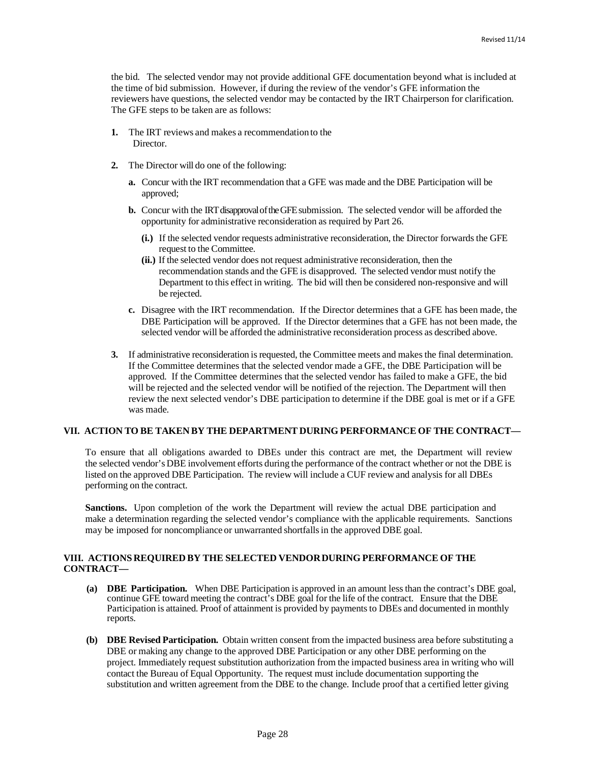the bid. The selected vendor may not provide additional GFE documentation beyond what is included at the time of bid submission. However, if during the review of the vendor's GFE information the reviewers have questions, the selected vendor may be contacted by the IRT Chairperson for clarification. The GFE steps to be taken are as follows:

- **1.** The IRT reviews and makes a recommendationto the Director.
- **2.** The Director will do one of the following:
	- **a.** Concur with the IRT recommendation that a GFE was made and the DBE Participation will be approved;
	- **b.** Concur with the IRT disapproval of the GFE submission. The selected vendor will be afforded the opportunity for administrative reconsideration as required by Part 26.
		- **(i.)** If the selected vendor requests administrative reconsideration, the Director forwards the GFE request to the Committee.
		- **(ii.)** If the selected vendor does not request administrative reconsideration, then the recommendation stands and the GFE is disapproved. The selected vendor must notify the Department to this effect in writing. The bid will then be considered non-responsive and will be rejected.
	- **c.** Disagree with the IRT recommendation. If the Director determines that a GFE has been made, the DBE Participation will be approved. If the Director determines that a GFE has not been made, the selected vendor will be afforded the administrative reconsideration process as described above.
- **3.** If administrative reconsideration is requested, the Committee meets and makes the final determination. If the Committee determines that the selected vendor made a GFE, the DBE Participation will be approved. If the Committee determines that the selected vendor has failed to make a GFE, the bid will be rejected and the selected vendor will be notified of the rejection. The Department will then review the next selected vendor's DBE participation to determine if the DBE goal is met or if a GFE was made.

#### **VII. ACTION TO BE TAKEN BY THE DEPARTMENT DURING PERFORMANCE OF THE CONTRACT—**

To ensure that all obligations awarded to DBEs under this contract are met, the Department will review the selected vendor's DBE involvement efforts during the performance of the contract whether or not the DBE is listed on the approved DBE Participation. The review will include a CUF review and analysis for all DBEs performing on the contract.

**Sanctions.** Upon completion of the work the Department will review the actual DBE participation and make a determination regarding the selected vendor's compliance with the applicable requirements. Sanctions may be imposed for noncompliance or unwarranted shortfallsin the approved DBE goal.

#### **VIII. ACTIONS REQUIRED BY THE SELECTED VENDORDURING PERFORMANCE OF THE CONTRACT—**

- **(a) DBE Participation.** When DBE Participation is approved in an amount lessthan the contract's DBE goal, continue GFE toward meeting the contract's DBE goal for the life of the contract. Ensure that the DBE Participation is attained. Proof of attainment is provided by payments to DBEs and documented in monthly reports.
- **(b) DBE Revised Participation.** Obtain written consent from the impacted business area before substituting a DBE or making any change to the approved DBE Participation or any other DBE performing on the project. Immediately request substitution authorization from the impacted business area in writing who will contact the Bureau of Equal Opportunity. The request must include documentation supporting the substitution and written agreement from the DBE to the change. Include proof that a certified letter giving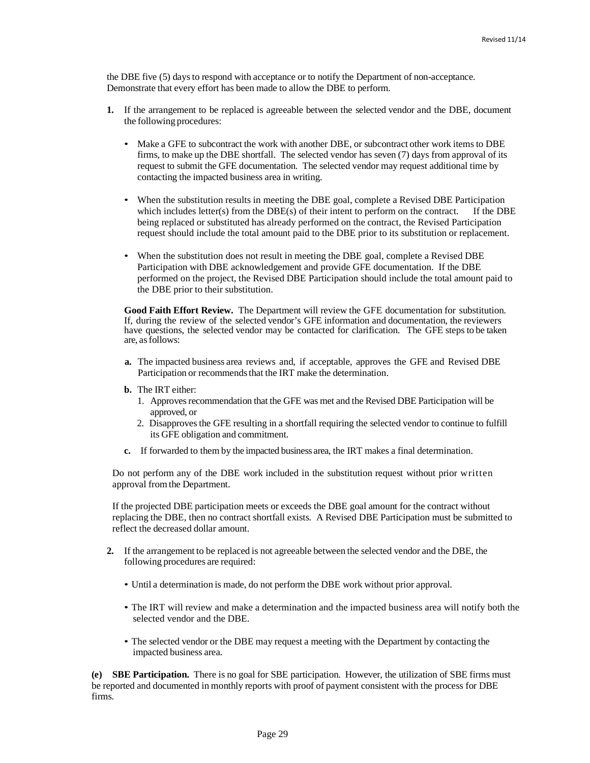the DBE five (5) daysto respond with acceptance or to notify the Department of non-acceptance. Demonstrate that every effort has been made to allow the DBE to perform.

- **1.** If the arrangement to be replaced is agreeable between the selected vendor and the DBE, document the following procedures:
	- Make a GFE to subcontract the work with another DBE, or subcontract other work items to DBE firms, to make up the DBE shortfall. The selected vendor has seven (7) days from approval of its request to submit the GFE documentation. The selected vendor may request additional time by contacting the impacted business area in writing.
	- When the substitution results in meeting the DBE goal, complete a Revised DBE Participation which includes letter(s) from the DBE(s) of their intent to perform on the contract. If the DBE being replaced or substituted has already performed on the contract, the Revised Participation request should include the total amount paid to the DBE prior to its substitution or replacement.
	- When the substitution does not result in meeting the DBE goal, complete a Revised DBE Participation with DBE acknowledgement and provide GFE documentation. If the DBE performed on the project, the Revised DBE Participation should include the total amount paid to the DBE prior to their substitution.

**Good Faith Effort Review.** The Department will review the GFE documentation for substitution. If, during the review of the selected vendor's GFE information and documentation, the reviewers have questions, the selected vendor may be contacted for clarification. The GFE steps to be taken are, asfollows:

- **a.** The impacted business area reviews and, if acceptable, approves the GFE and Revised DBE Participation or recommends that the IRT make the determination.
- **b.** The IRT either:
	- 1. Approves recommendation that the GFE was met and the Revised DBE Participation will be approved, or
	- 2. Disapprovesthe GFE resulting in a shortfall requiring the selected vendor to continue to fulfill its GFE obligation and commitment.
- **c.** If forwarded to them by the impacted business area, the IRT makes a final determination.

Do not perform any of the DBE work included in the substitution request without prior written approval from the Department.

If the projected DBE participation meets or exceeds the DBE goal amount for the contract without replacing the DBE, then no contract shortfall exists. A Revised DBE Participation must be submitted to reflect the decreased dollar amount.

- **2.** If the arrangement to be replaced is not agreeable between the selected vendor and the DBE, the following procedures are required:
	- Until a determination is made, do not perform the DBE work without prior approval.
	- The IRT will review and make a determination and the impacted business area will notify both the selected vendor and the DBE.
	- The selected vendor or the DBE may request a meeting with the Department by contacting the impacted business area.

**(e) SBE Participation.** There is no goal for SBE participation. However, the utilization of SBE firms must be reported and documented in monthly reports with proof of payment consistent with the process for DBE firms.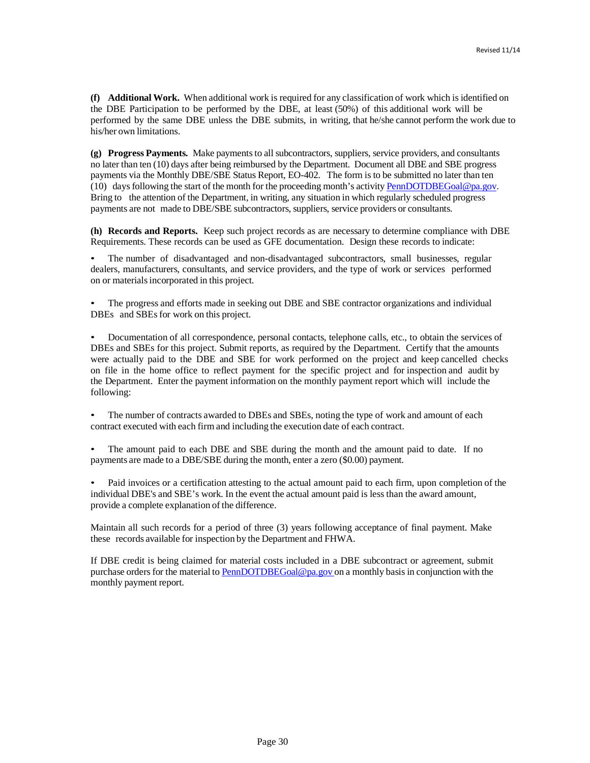**(f) Additional Work.** When additional work is required for any classification of work which is identified on the DBE Participation to be performed by the DBE, at least (50%) of this additional work will be performed by the same DBE unless the DBE submits, in writing, that he/she cannot perform the work due to his/her own limitations.

(g) Progress Payments. Make payments to all subcontractors, suppliers, service providers, and consultants no later than ten (10) days after being reimbursed by the Department. Document all DBE and SBE progress payments via the Monthly DBE/SBE Status Report, EO-402. The form is to be submitted no later than ten (10) daysfollowing the start of the month for the proceeding month's activity [PennDOTDBEGoal@pa.gov.](mailto:PennDOTDBEGoal@pa.gov) Bring to the attention of the Department, in writing, any situation in which regularly scheduled progress payments are not made to DBE/SBE subcontractors, suppliers, service providers or consultants.

**(h) Records and Reports.** Keep such project records as are necessary to determine compliance with DBE Requirements. These records can be used as GFE documentation. Design these records to indicate:

• The number of disadvantaged and non-disadvantaged subcontractors, small businesses, regular dealers, manufacturers, consultants, and service providers, and the type of work or services performed on or materialsincorporated in this project.

• The progress and efforts made in seeking out DBE and SBE contractor organizations and individual DBEs and SBEs for work on this project.

• Documentation of all correspondence, personal contacts, telephone calls, etc., to obtain the services of DBEs and SBEs for this project. Submit reports, as required by the Department. Certify that the amounts were actually paid to the DBE and SBE for work performed on the project and keep cancelled checks on file in the home office to reflect payment for the specific project and for inspection and audit by the Department. Enter the payment information on the monthly payment report which will include the following:

• The number of contracts awarded to DBEs and SBEs, noting the type of work and amount of each contract executed with each firm and including the execution date of each contract.

The amount paid to each DBE and SBE during the month and the amount paid to date. If no payments are made to a DBE/SBE during the month, enter a zero (\$0.00) payment.

• Paid invoices or a certification attesting to the actual amount paid to each firm, upon completion of the individual DBE's and SBE's work. In the event the actual amount paid is less than the award amount, provide a complete explanation of the difference.

Maintain all such records for a period of three (3) years following acceptance of final payment. Make these records available for inspection by the Department and FHWA.

If DBE credit is being claimed for material costs included in a DBE subcontract or agreement, submit purchase orders for the material to [PennDOTDBEGoal@pa.gov](mailto:PennDOTDBEGoal@pa.gov) on a monthly basis in conjunction with the monthly payment report.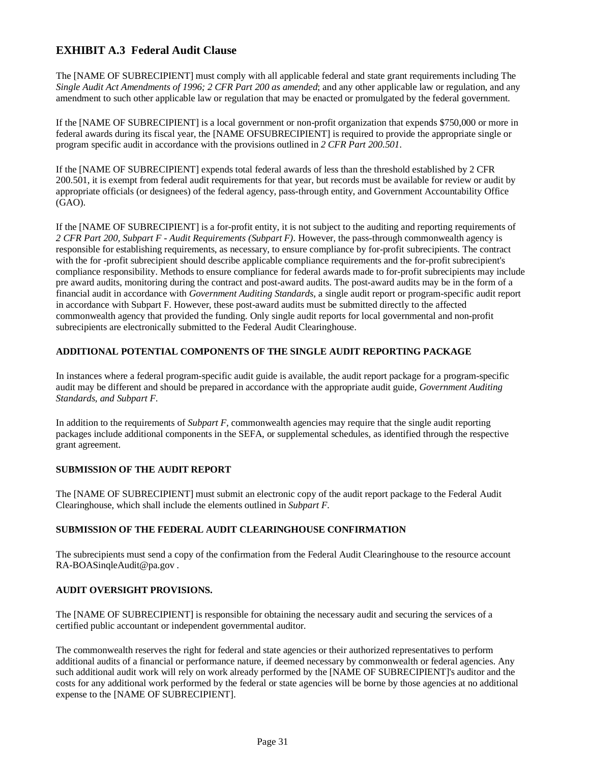# **EXHIBIT A.3 Federal Audit Clause**

The [NAME OF SUBRECIPIENT] must comply with all applicable federal and state grant requirements including The *Single Audit Act Amendments of 1996; 2 CFR Part 200 as amended*; and any other applicable law or regulation, and any amendment to such other applicable law or regulation that may be enacted or promulgated by the federal government.

If the [NAME OF SUBRECIPIENT] is a local government or non-profit organization that expends \$750,000 or more in federal awards during its fiscal year, the [NAME OFSUBRECIPIENT] is required to provide the appropriate single or program specific audit in accordance with the provisions outlined in *2 CFR Part 200.501*.

If the [NAME OF SUBRECIPIENT] expends total federal awards of less than the threshold established by 2 CFR 200.501, it is exempt from federal audit requirements for that year, but records must be available for review or audit by appropriate officials (or designees) of the federal agency, pass-through entity, and Government Accountability Office (GAO).

If the [NAME OF SUBRECIPIENT] is a for-profit entity, it is not subject to the auditing and reporting requirements of *2 CFR Part 200, Subpart F - Audit Requirements (Subpart F)*. However, the pass-through commonwealth agency is responsible for establishing requirements, as necessary, to ensure compliance by for-profit subrecipients. The contract with the for -profit subrecipient should describe applicable compliance requirements and the for-profit subrecipient's compliance responsibility. Methods to ensure compliance for federal awards made to for-profit subrecipients may include pre award audits, monitoring during the contract and post-award audits. The post-award audits may be in the form of a financial audit in accordance with *Government Auditing Standards*, a single audit report or program-specific audit report in accordance with Subpart F. However, these post-award audits must be submitted directly to the affected commonwealth agency that provided the funding. Only single audit reports for local governmental and non-profit subrecipients are electronically submitted to the Federal Audit Clearinghouse.

## **ADDITIONAL POTENTIAL COMPONENTS OF THE SINGLE AUDIT REPORTING PACKAGE**

In instances where a federal program-specific audit guide is available, the audit report package for a program-specific audit may be different and should be prepared in accordance with the appropriate audit guide, *Government Auditing Standards, and Subpart F*.

In addition to the requirements of *Subpart F*, commonwealth agencies may require that the single audit reporting packages include additional components in the SEFA, or supplemental schedules, as identified through the respective grant agreement.

## **SUBMISSION OF THE AUDIT REPORT**

The [NAME OF SUBRECIPIENT] must submit an electronic copy of the audit report package to the Federal Audit Clearinghouse, which shall include the elements outlined in *Subpart F*.

## **SUBMISSION OF THE FEDERAL AUDIT CLEARINGHOUSE CONFIRMATION**

The subrecipients must send a copy of the confirmation from the Federal Audit Clearinghouse to the resource account RA-BOASinqleAudit@pa.gov .

## **AUDIT OVERSIGHT PROVISIONS.**

The [NAME OF SUBRECIPIENT] is responsible for obtaining the necessary audit and securing the services of a certified public accountant or independent governmental auditor.

The commonwealth reserves the right for federal and state agencies or their authorized representatives to perform additional audits of a financial or performance nature, if deemed necessary by commonwealth or federal agencies. Any such additional audit work will rely on work already performed by the [NAME OF SUBRECIPIENT]'s auditor and the costs for any additional work performed by the federal or state agencies will be borne by those agencies at no additional expense to the [NAME OF SUBRECIPIENT].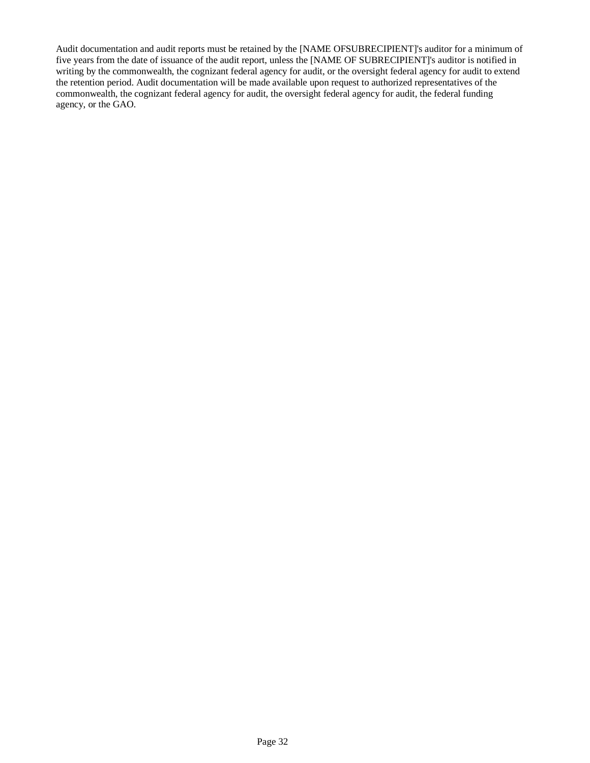Audit documentation and audit reports must be retained by the [NAME OFSUBRECIPIENT]'s auditor for a minimum of five years from the date of issuance of the audit report, unless the [NAME OF SUBRECIPIENT]'s auditor is notified in writing by the commonwealth, the cognizant federal agency for audit, or the oversight federal agency for audit to extend the retention period. Audit documentation will be made available upon request to authorized representatives of the commonwealth, the cognizant federal agency for audit, the oversight federal agency for audit, the federal funding agency, or the GAO.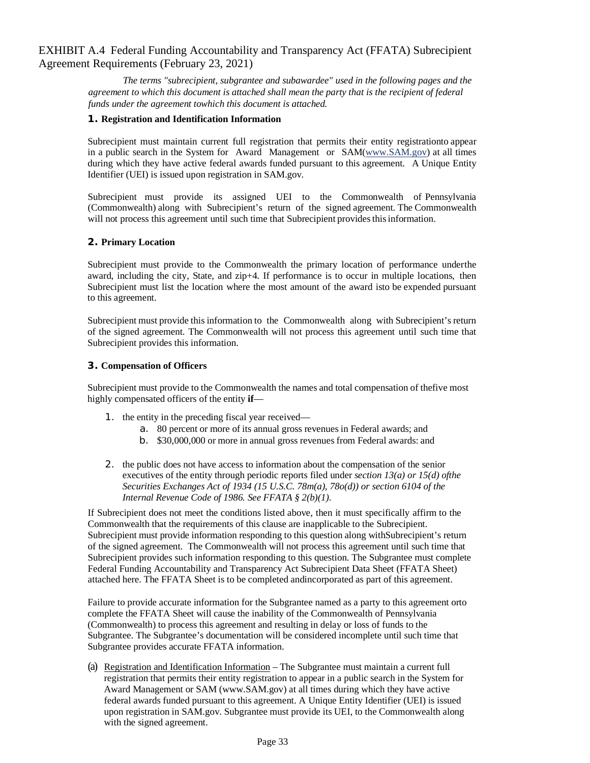## EXHIBIT A.4 Federal Funding Accountability and Transparency Act (FFATA) Subrecipient Agreement Requirements (February 23, 2021)

*The terms "subrecipient, subgrantee and subawardee" used in the following pages and the agreement to which this document is attached shall mean the party that is the recipient of federal funds under the agreement towhich this document is attached.*

## **1. Registration and Identification Information**

Subrecipient must maintain current full registration that permits their entity registrationto appear in a public search in the System for Award Management or SA[M\(www.SAM.gov\) a](http://www.sam.gov/)t all times during which they have active federal awards funded pursuant to this agreement. A Unique Entity Identifier (UEI) is issued upon registration in SAM.gov.

Subrecipient must provide its assigned UEI to the Commonwealth of Pennsylvania (Commonwealth) along with Subrecipient's return of the signed agreement. The Commonwealth will not process this agreement until such time that Subrecipient provides this information.

## **2. Primary Location**

Subrecipient must provide to the Commonwealth the primary location of performance underthe award, including the city, State, and zip+4. If performance is to occur in multiple locations, then Subrecipient must list the location where the most amount of the award isto be expended pursuant to this agreement.

Subrecipient must provide this information to the Commonwealth along with Subrecipient's return of the signed agreement. The Commonwealth will not process this agreement until such time that Subrecipient provides this information.

## **3. Compensation of Officers**

Subrecipient must provide to the Commonwealth the names and total compensation of thefive most highly compensated officers of the entity **if**—

- 1. the entity in the preceding fiscal year received
	- a. 80 percent or more of its annual gross revenues in Federal awards; and
	- b. \$30,000,000 or more in annual gross revenues from Federal awards: and
- 2. the public does not have access to information about the compensation of the senior executives of the entity through periodic reports filed under *section 13(a) or 15(d) ofthe Securities Exchanges Act of 1934 (15 U.S.C. 78m(a), 78o(d)) or section 6104 of the Internal Revenue Code of 1986. See FFATA § 2(b)(1)*.

If Subrecipient does not meet the conditions listed above, then it must specifically affirm to the Commonwealth that the requirements of this clause are inapplicable to the Subrecipient. Subrecipient must provide information responding to this question along withSubrecipient's return of the signed agreement. The Commonwealth will not process this agreement until such time that Subrecipient provides such information responding to this question. The Subgrantee must complete Federal Funding Accountability and Transparency Act Subrecipient Data Sheet (FFATA Sheet) attached here. The FFATA Sheet is to be completed andincorporated as part of this agreement.

Failure to provide accurate information for the Subgrantee named as a party to this agreement orto complete the FFATA Sheet will cause the inability of the Commonwealth of Pennsylvania (Commonwealth) to process this agreement and resulting in delay or loss of funds to the Subgrantee. The Subgrantee's documentation will be considered incomplete until such time that Subgrantee provides accurate FFATA information.

(a) Registration and Identification Information – The Subgrantee must maintain a current full registration that permits their entity registration to appear in a public search in the System for Award Management or SAM (www.SAM.gov) at all times during which they have active federal awards funded pursuant to this agreement. A Unique Entity Identifier (UEI) is issued upon registration in SAM.gov. Subgrantee must provide its UEI, to the Commonwealth along with the signed agreement.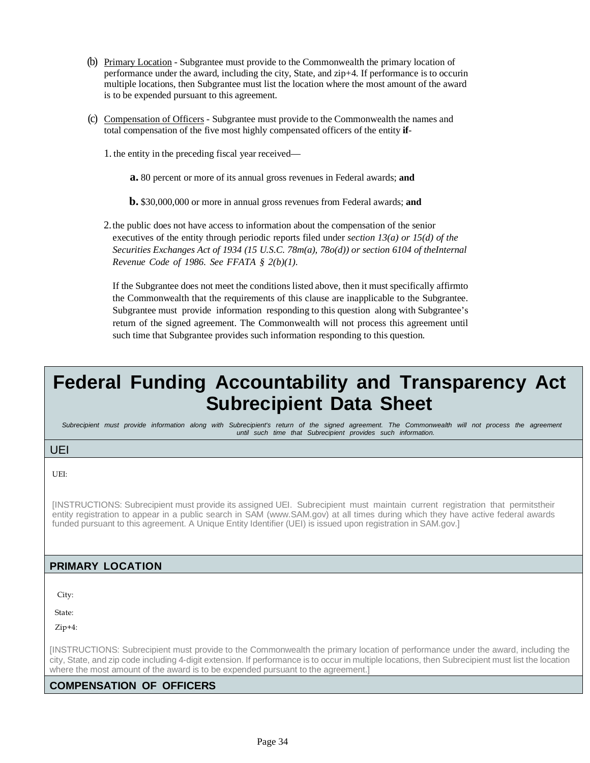- (b) Primary Location Subgrantee must provide to the Commonwealth the primary location of performance under the award, including the city, State, and zip+4. If performance is to occurin multiple locations, then Subgrantee must list the location where the most amount of the award is to be expended pursuant to this agreement.
- (c) Compensation of Officers Subgrantee must provide to the Commonwealth the names and total compensation of the five most highly compensated officers of the entity **if**-
	- 1. the entity in the preceding fiscal year received
		- **a.** 80 percent or more of its annual gross revenues in Federal awards; **and**
		- **b.** \$30,000,000 or more in annual gross revenues from Federal awards; **and**

2.the public does not have access to information about the compensation of the senior executives of the entity through periodic reports filed under *section 13(a) or 15(d) of the Securities Exchanges Act of 1934 (15 U.S.C. 78m(a), 78o(d)) or section 6104 of theInternal Revenue Code of 1986. See FFATA § 2(b)(1)*.

If the Subgrantee does not meet the conditions listed above, then it must specifically affirmto the Commonwealth that the requirements of this clause are inapplicable to the Subgrantee. Subgrantee must provide information responding to this question along with Subgrantee's return of the signed agreement. The Commonwealth will not process this agreement until such time that Subgrantee provides such information responding to this question.

# **Federal Funding Accountability and Transparency Act Subrecipient Data Sheet**

Subrecipient must provide information along with Subrecipient's return of the signed agreement. The Commonwealth will not process the agreement *until such time that Subrecipient provides such information.*

## UEI

UEI:

[INSTRUCTIONS: Subrecipient must provide its assigned UEI. Subrecipient must maintain current registration that permitstheir entity registration to appear in a public search in SAM (www.SAM.gov) at all times during which they have active federal awards funded pursuant to this agreement. A Unique Entity Identifier (UEI) is issued upon registration in SAM.gov.]

## **PRIMARY LOCATION**

City:

State:

Zip+4:

[INSTRUCTIONS: Subrecipient must provide to the Commonwealth the primary location of performance under the award, including the city, State, and zip code including 4-digit extension. If performance is to occur in multiple locations, then Subrecipient must list the location where the most amount of the award is to be expended pursuant to the agreement.]

## **COMPENSATION OF OFFICERS**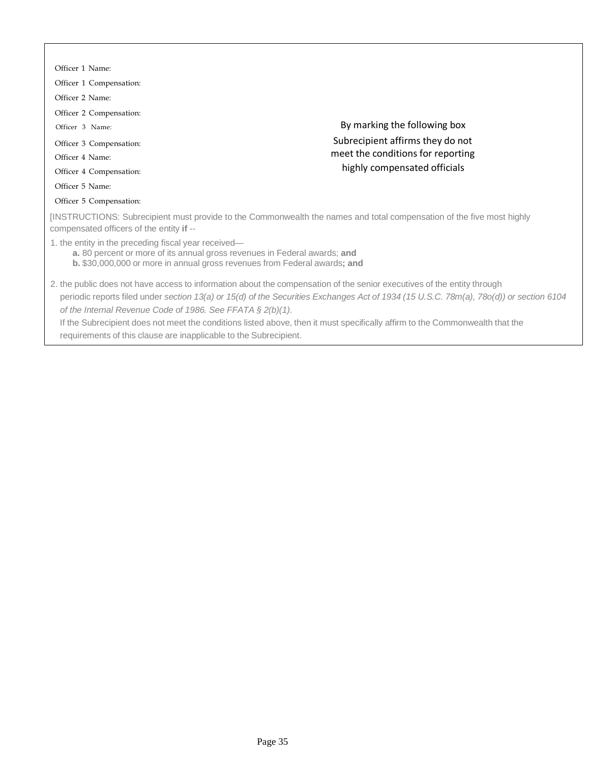| Officer 1 Name:                                                                                                                                                                                                |                                                                                                                                                                                                                                                                   |
|----------------------------------------------------------------------------------------------------------------------------------------------------------------------------------------------------------------|-------------------------------------------------------------------------------------------------------------------------------------------------------------------------------------------------------------------------------------------------------------------|
| Officer 1 Compensation:                                                                                                                                                                                        |                                                                                                                                                                                                                                                                   |
| Officer 2 Name:                                                                                                                                                                                                |                                                                                                                                                                                                                                                                   |
| Officer 2 Compensation:                                                                                                                                                                                        |                                                                                                                                                                                                                                                                   |
| Officer 3 Name:                                                                                                                                                                                                | By marking the following box                                                                                                                                                                                                                                      |
| Officer 3 Compensation:                                                                                                                                                                                        | Subrecipient affirms they do not                                                                                                                                                                                                                                  |
| Officer 4 Name:                                                                                                                                                                                                | meet the conditions for reporting                                                                                                                                                                                                                                 |
| Officer 4 Compensation:                                                                                                                                                                                        | highly compensated officials                                                                                                                                                                                                                                      |
| Officer 5 Name:                                                                                                                                                                                                |                                                                                                                                                                                                                                                                   |
| Officer 5 Compensation:                                                                                                                                                                                        |                                                                                                                                                                                                                                                                   |
| compensated officers of the entity if --                                                                                                                                                                       | [INSTRUCTIONS: Subrecipient must provide to the Commonwealth the names and total compensation of the five most highly                                                                                                                                             |
| 1. the entity in the preceding fiscal year received—<br>a. 80 percent or more of its annual gross revenues in Federal awards; and<br>b. \$30,000,000 or more in annual gross revenues from Federal awards; and |                                                                                                                                                                                                                                                                   |
| of the Internal Revenue Code of 1986. See FFATA § 2(b)(1).                                                                                                                                                     | 2. the public does not have access to information about the compensation of the senior executives of the entity through<br>periodic reports filed under section 13(a) or 15(d) of the Securities Exchanges Act of 1934 (15 U.S.C. 78m(a), 78o(d)) or section 6104 |

If the Subrecipient does not meet the conditions listed above, then it must specifically affirm to the Commonwealth that the requirements of this clause are inapplicable to the Subrecipient.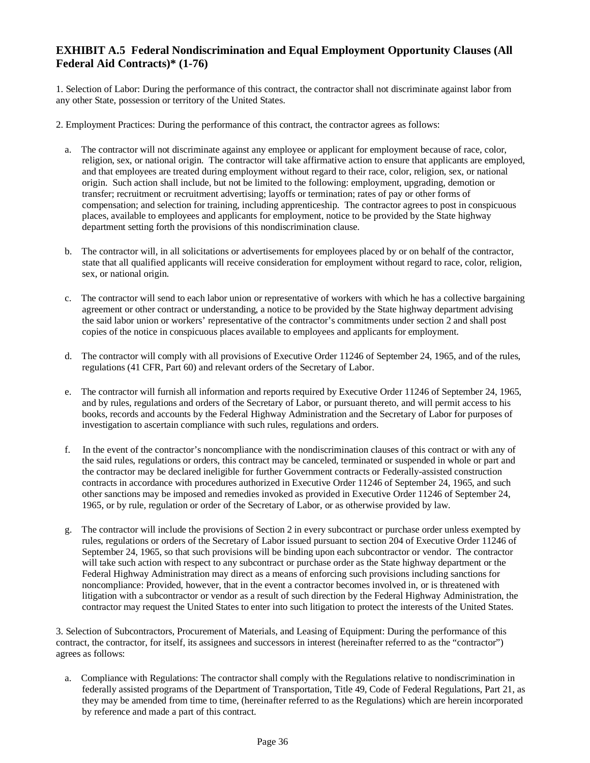# **EXHIBIT A.5 Federal Nondiscrimination and Equal Employment Opportunity Clauses (All Federal Aid Contracts)\* (1-76)**

1. Selection of Labor: During the performance of this contract, the contractor shall not discriminate against labor from any other State, possession or territory of the United States.

2. Employment Practices: During the performance of this contract, the contractor agrees as follows:

- a. The contractor will not discriminate against any employee or applicant for employment because of race, color, religion, sex, or national origin. The contractor will take affirmative action to ensure that applicants are employed, and that employees are treated during employment without regard to their race, color, religion, sex, or national origin. Such action shall include, but not be limited to the following: employment, upgrading, demotion or transfer; recruitment or recruitment advertising; layoffs or termination; rates of pay or other forms of compensation; and selection for training, including apprenticeship. The contractor agrees to post in conspicuous places, available to employees and applicants for employment, notice to be provided by the State highway department setting forth the provisions of this nondiscrimination clause.
- b. The contractor will, in all solicitations or advertisements for employees placed by or on behalf of the contractor, state that all qualified applicants will receive consideration for employment without regard to race, color, religion, sex, or national origin.
- c. The contractor will send to each labor union or representative of workers with which he has a collective bargaining agreement or other contract or understanding, a notice to be provided by the State highway department advising the said labor union or workers' representative of the contractor's commitments under section 2 and shall post copies of the notice in conspicuous places available to employees and applicants for employment.
- d. The contractor will comply with all provisions of Executive Order 11246 of September 24, 1965, and of the rules, regulations (41 CFR, Part 60) and relevant orders of the Secretary of Labor.
- e. The contractor will furnish all information and reports required by Executive Order 11246 of September 24, 1965, and by rules, regulations and orders of the Secretary of Labor, or pursuant thereto, and will permit access to his books, records and accounts by the Federal Highway Administration and the Secretary of Labor for purposes of investigation to ascertain compliance with such rules, regulations and orders.
- f. In the event of the contractor's noncompliance with the nondiscrimination clauses of this contract or with any of the said rules, regulations or orders, this contract may be canceled, terminated or suspended in whole or part and the contractor may be declared ineligible for further Government contracts or Federally-assisted construction contracts in accordance with procedures authorized in Executive Order 11246 of September 24, 1965, and such other sanctions may be imposed and remedies invoked as provided in Executive Order 11246 of September 24, 1965, or by rule, regulation or order of the Secretary of Labor, or as otherwise provided by law.
- g. The contractor will include the provisions of Section 2 in every subcontract or purchase order unless exempted by rules, regulations or orders of the Secretary of Labor issued pursuant to section 204 of Executive Order 11246 of September 24, 1965, so that such provisions will be binding upon each subcontractor or vendor. The contractor will take such action with respect to any subcontract or purchase order as the State highway department or the Federal Highway Administration may direct as a means of enforcing such provisions including sanctions for noncompliance: Provided, however, that in the event a contractor becomes involved in, or is threatened with litigation with a subcontractor or vendor as a result of such direction by the Federal Highway Administration, the contractor may request the United States to enter into such litigation to protect the interests of the United States.

3. Selection of Subcontractors, Procurement of Materials, and Leasing of Equipment: During the performance of this contract, the contractor, for itself, its assignees and successors in interest (hereinafter referred to as the "contractor") agrees as follows:

a. Compliance with Regulations: The contractor shall comply with the Regulations relative to nondiscrimination in federally assisted programs of the Department of Transportation, Title 49, Code of Federal Regulations, Part 21, as they may be amended from time to time, (hereinafter referred to as the Regulations) which are herein incorporated by reference and made a part of this contract.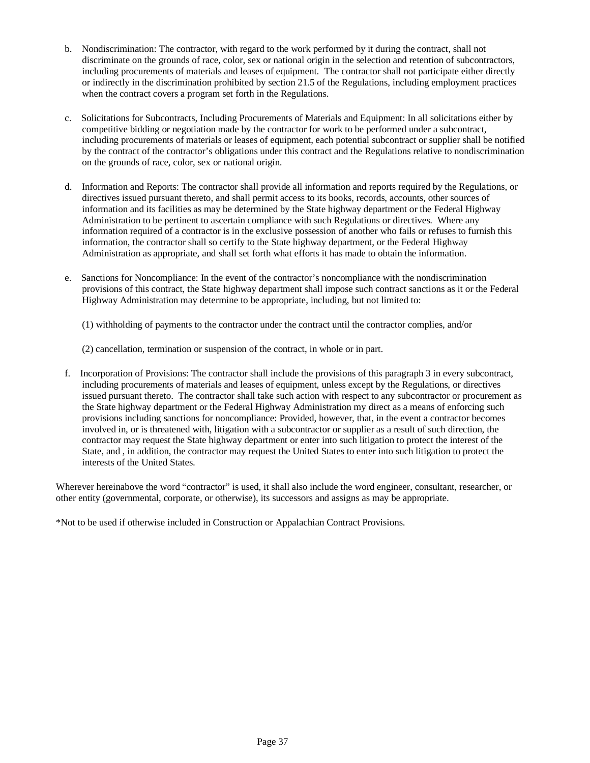- b. Nondiscrimination: The contractor, with regard to the work performed by it during the contract, shall not discriminate on the grounds of race, color, sex or national origin in the selection and retention of subcontractors, including procurements of materials and leases of equipment. The contractor shall not participate either directly or indirectly in the discrimination prohibited by section 21.5 of the Regulations, including employment practices when the contract covers a program set forth in the Regulations.
- c. Solicitations for Subcontracts, Including Procurements of Materials and Equipment: In all solicitations either by competitive bidding or negotiation made by the contractor for work to be performed under a subcontract, including procurements of materials or leases of equipment, each potential subcontract or supplier shall be notified by the contract of the contractor's obligations under this contract and the Regulations relative to nondiscrimination on the grounds of race, color, sex or national origin.
- d. Information and Reports: The contractor shall provide all information and reports required by the Regulations, or directives issued pursuant thereto, and shall permit access to its books, records, accounts, other sources of information and its facilities as may be determined by the State highway department or the Federal Highway Administration to be pertinent to ascertain compliance with such Regulations or directives. Where any information required of a contractor is in the exclusive possession of another who fails or refuses to furnish this information, the contractor shall so certify to the State highway department, or the Federal Highway Administration as appropriate, and shall set forth what efforts it has made to obtain the information.
- e. Sanctions for Noncompliance: In the event of the contractor's noncompliance with the nondiscrimination provisions of this contract, the State highway department shall impose such contract sanctions as it or the Federal Highway Administration may determine to be appropriate, including, but not limited to:

(1) withholding of payments to the contractor under the contract until the contractor complies, and/or

(2) cancellation, termination or suspension of the contract, in whole or in part.

f. Incorporation of Provisions: The contractor shall include the provisions of this paragraph 3 in every subcontract, including procurements of materials and leases of equipment, unless except by the Regulations, or directives issued pursuant thereto. The contractor shall take such action with respect to any subcontractor or procurement as the State highway department or the Federal Highway Administration my direct as a means of enforcing such provisions including sanctions for noncompliance: Provided, however, that, in the event a contractor becomes involved in, or is threatened with, litigation with a subcontractor or supplier as a result of such direction, the contractor may request the State highway department or enter into such litigation to protect the interest of the State, and , in addition, the contractor may request the United States to enter into such litigation to protect the interests of the United States.

Wherever hereinabove the word "contractor" is used, it shall also include the word engineer, consultant, researcher, or other entity (governmental, corporate, or otherwise), its successors and assigns as may be appropriate.

\*Not to be used if otherwise included in Construction or Appalachian Contract Provisions.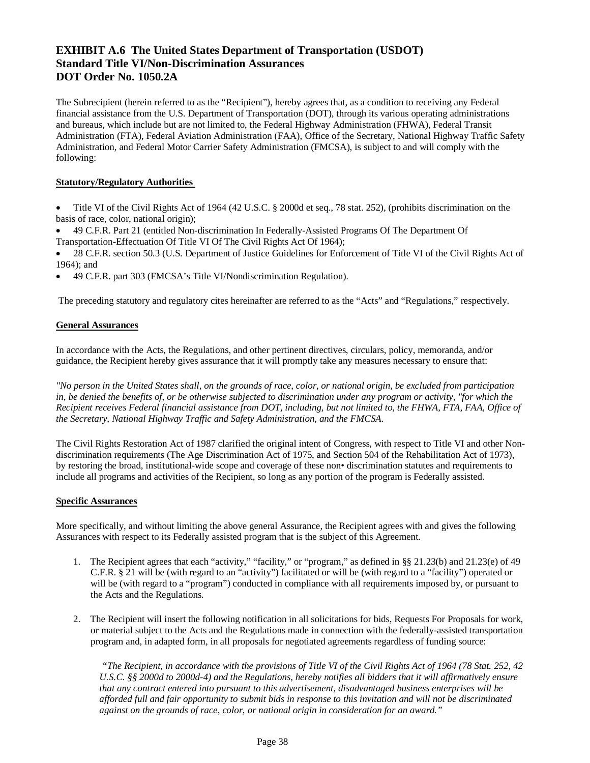# **EXHIBIT A.6 The United States Department of Transportation (USDOT) Standard Title VI/Non-Discrimination Assurances DOT Order No. 1050.2A**

The Subrecipient (herein referred to as the "Recipient"), hereby agrees that, as a condition to receiving any Federal financial assistance from the U.S. Department of Transportation (DOT), through its various operating administrations and bureaus, which include but are not limited to, the Federal Highway Administration (FHWA), Federal Transit Administration (FTA), Federal Aviation Administration (FAA), Office of the Secretary, National Highway Traffic Safety Administration, and Federal Motor Carrier Safety Administration (FMCSA), is subject to and will comply with the following:

## **Statutory/Regulatory Authorities**

- Title VI of the Civil Rights Act of 1964 (42 U.S.C. § 2000d et seq., 78 stat. 252), (prohibits discrimination on the basis of race, color, national origin);
- 49 C.F.R. Part 21 (entitled Non-discrimination In Federally-Assisted Programs Of The Department Of Transportation-Effectuation Of Title VI Of The Civil Rights Act Of 1964);
- 28 C.F.R. section 50.3 (U.S. Department of Justice Guidelines for Enforcement of Title VI of the Civil Rights Act of 1964); and
- 49 C.F.R. part 303 (FMCSA's Title VI/Nondiscrimination Regulation).

The preceding statutory and regulatory cites hereinafter are referred to as the "Acts" and "Regulations," respectively.

## **General Assurances**

In accordance with the Acts, the Regulations, and other pertinent directives, circulars, policy, memoranda, and/or guidance, the Recipient hereby gives assurance that it will promptly take any measures necessary to ensure that:

*"No person in the United States shall, on the grounds of race, color, or national origin, be excluded from participation in, be denied the benefits of, or be otherwise subjected to discrimination under any program or activity, "for which the Recipient receives Federal financial assistance from DOT, including, but not limited to, the FHWA, FTA, FAA, Office of the Secretary, National Highway Traffic and Safety Administration, and the FMCSA.*

The Civil Rights Restoration Act of 1987 clarified the original intent of Congress, with respect to Title VI and other Nondiscrimination requirements (The Age Discrimination Act of 1975, and Section 504 of the Rehabilitation Act of 1973), by restoring the broad, institutional-wide scope and coverage of these non• discrimination statutes and requirements to include all programs and activities of the Recipient, so long as any portion of the program is Federally assisted.

## **Specific Assurances**

More specifically, and without limiting the above general Assurance, the Recipient agrees with and gives the following Assurances with respect to its Federally assisted program that is the subject of this Agreement.

- 1. The Recipient agrees that each "activity," "facility," or "program," as defined in §§ 21.23(b) and 21.23(e) of 49 C.F.R. § 21 will be (with regard to an "activity") facilitated or will be (with regard to a "facility") operated or will be (with regard to a "program") conducted in compliance with all requirements imposed by, or pursuant to the Acts and the Regulations.
- 2. The Recipient will insert the following notification in all solicitations for bids, Requests For Proposals for work, or material subject to the Acts and the Regulations made in connection with the federally-assisted transportation program and, in adapted form, in all proposals for negotiated agreements regardless of funding source:

*"The Recipient, in accordance with the provisions of Title VI of the Civil Rights Act of 1964 (78 Stat. 252, 42 U.S.C. §§ 2000d to 2000d-4) and the Regulations, hereby notifies all bidders that it will affirmatively ensure that any contract entered into pursuant to this advertisement, disadvantaged business enterprises will be afforded full and fair opportunity to submit bids in response to this invitation and will not be discriminated against on the grounds of race, color, or national origin in consideration for an award."*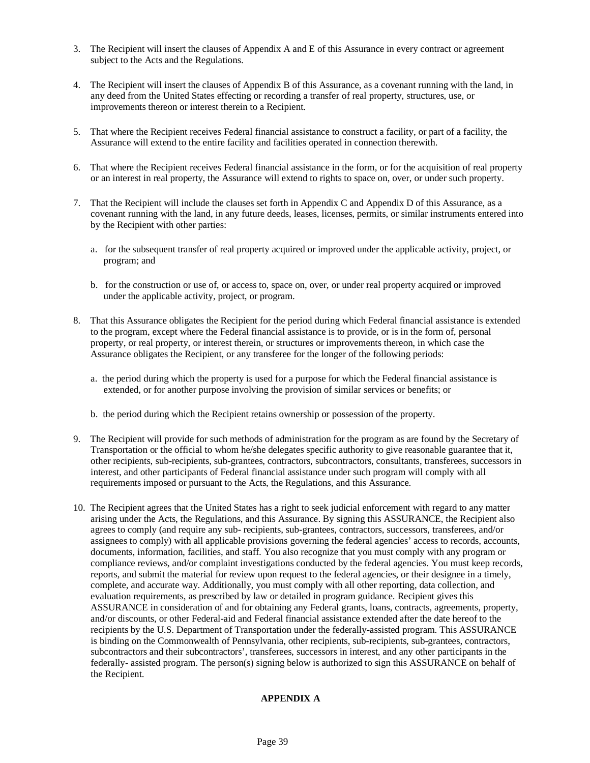- 3. The Recipient will insert the clauses of Appendix A and E of this Assurance in every contract or agreement subject to the Acts and the Regulations.
- 4. The Recipient will insert the clauses of Appendix B of this Assurance, as a covenant running with the land, in any deed from the United States effecting or recording a transfer of real property, structures, use, or improvements thereon or interest therein to a Recipient.
- 5. That where the Recipient receives Federal financial assistance to construct a facility, or part of a facility, the Assurance will extend to the entire facility and facilities operated in connection therewith.
- 6. That where the Recipient receives Federal financial assistance in the form, or for the acquisition of real property or an interest in real property, the Assurance will extend to rights to space on, over, or under such property.
- 7. That the Recipient will include the clauses set forth in Appendix C and Appendix D of this Assurance, as a covenant running with the land, in any future deeds, leases, licenses, permits, or similar instruments entered into by the Recipient with other parties:
	- a. for the subsequent transfer of real property acquired or improved under the applicable activity, project, or program; and
	- b. for the construction or use of, or access to, space on, over, or under real property acquired or improved under the applicable activity, project, or program.
- 8. That this Assurance obligates the Recipient for the period during which Federal financial assistance is extended to the program, except where the Federal financial assistance is to provide, or is in the form of, personal property, or real property, or interest therein, or structures or improvements thereon, in which case the Assurance obligates the Recipient, or any transferee for the longer of the following periods:
	- a. the period during which the property is used for a purpose for which the Federal financial assistance is extended, or for another purpose involving the provision of similar services or benefits; or
	- b. the period during which the Recipient retains ownership or possession of the property.
- 9. The Recipient will provide for such methods of administration for the program as are found by the Secretary of Transportation or the official to whom he/she delegates specific authority to give reasonable guarantee that it, other recipients, sub-recipients, sub-grantees, contractors, subcontractors, consultants, transferees, successors in interest, and other participants of Federal financial assistance under such program will comply with all requirements imposed or pursuant to the Acts, the Regulations, and this Assurance.
- 10. The Recipient agrees that the United States has a right to seek judicial enforcement with regard to any matter arising under the Acts, the Regulations, and this Assurance. By signing this ASSURANCE, the Recipient also agrees to comply (and require any sub- recipients, sub-grantees, contractors, successors, transferees, and/or assignees to comply) with all applicable provisions governing the federal agencies' access to records, accounts, documents, information, facilities, and staff. You also recognize that you must comply with any program or compliance reviews, and/or complaint investigations conducted by the federal agencies. You must keep records, reports, and submit the material for review upon request to the federal agencies, or their designee in a timely, complete, and accurate way. Additionally, you must comply with all other reporting, data collection, and evaluation requirements, as prescribed by law or detailed in program guidance. Recipient gives this ASSURANCE in consideration of and for obtaining any Federal grants, loans, contracts, agreements, property, and/or discounts, or other Federal-aid and Federal financial assistance extended after the date hereof to the recipients by the U.S. Department of Transportation under the federally-assisted program. This ASSURANCE is binding on the Commonwealth of Pennsylvania, other recipients, sub-recipients, sub-grantees, contractors, subcontractors and their subcontractors', transferees, successors in interest, and any other participants in the federally- assisted program. The person(s) signing below is authorized to sign this ASSURANCE on behalf of the Recipient.

## **APPENDIX A**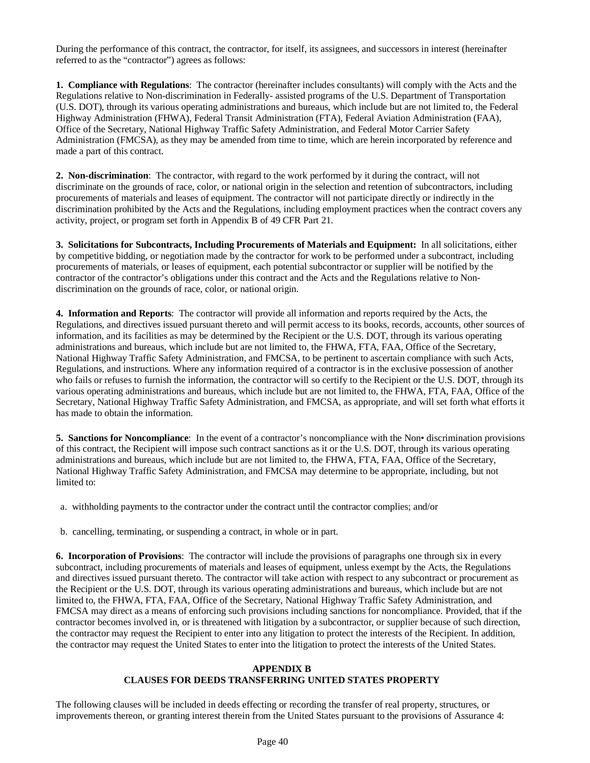During the performance of this contract, the contractor, for itself, its assignees, and successors in interest (hereinafter referred to as the "contractor") agrees as follows:

**1. Compliance with Regulations**: The contractor (hereinafter includes consultants) will comply with the Acts and the Regulations relative to Non-discrimination in Federally- assisted programs of the U.S. Department of Transportation (U.S. DOT), through its various operating administrations and bureaus, which include but are not limited to, the Federal Highway Administration (FHWA), Federal Transit Administration (FTA), Federal Aviation Administration (FAA), Office of the Secretary, National Highway Traffic Safety Administration, and Federal Motor Carrier Safety Administration (FMCSA), as they may be amended from time to time, which are herein incorporated by reference and made a part of this contract.

**2. Non-discrimination**: The contractor, with regard to the work performed by it during the contract, will not discriminate on the grounds of race, color, or national origin in the selection and retention of subcontractors, including procurements of materials and leases of equipment. The contractor will not participate directly or indirectly in the discrimination prohibited by the Acts and the Regulations, including employment practices when the contract covers any activity, project, or program set forth in Appendix B of 49 CFR Part 21.

**3. Solicitations for Subcontracts, Including Procurements of Materials and Equipment:** In all solicitations, either by competitive bidding, or negotiation made by the contractor for work to be performed under a subcontract, including procurements of materials, or leases of equipment, each potential subcontractor or supplier will be notified by the contractor of the contractor's obligations under this contract and the Acts and the Regulations relative to Nondiscrimination on the grounds of race, color, or national origin.

**4. Information and Reports**: The contractor will provide all information and reports required by the Acts, the Regulations, and directives issued pursuant thereto and will permit access to its books, records, accounts, other sources of information, and its facilities as may be determined by the Recipient or the U.S. DOT, through its various operating administrations and bureaus, which include but are not limited to, the FHWA, FTA, FAA, Office of the Secretary, National Highway Traffic Safety Administration, and FMCSA, to be pertinent to ascertain compliance with such Acts, Regulations, and instructions. Where any information required of a contractor is in the exclusive possession of another who fails or refuses to furnish the information, the contractor will so certify to the Recipient or the U.S. DOT, through its various operating administrations and bureaus, which include but are not limited to, the FHWA, FTA, FAA, Office of the Secretary, National Highway Traffic Safety Administration, and FMCSA, as appropriate, and will set forth what efforts it has made to obtain the information.

**5. Sanctions for Noncompliance**: In the event of a contractor's noncompliance with the Non• discrimination provisions of this contract, the Recipient will impose such contract sanctions as it or the U.S. DOT, through its various operating administrations and bureaus, which include but are not limited to, the FHWA, FTA, FAA, Office of the Secretary, National Highway Traffic Safety Administration, and FMCSA may determine to be appropriate, including, but not limited to:

a. withholding payments to the contractor under the contract until the contractor complies; and/or

b. cancelling, terminating, or suspending a contract, in whole or in part.

**6. Incorporation of Provisions**: The contractor will include the provisions of paragraphs one through six in every subcontract, including procurements of materials and leases of equipment, unless exempt by the Acts, the Regulations and directives issued pursuant thereto. The contractor will take action with respect to any subcontract or procurement as the Recipient or the U.S. DOT, through its various operating administrations and bureaus, which include but are not limited to, the FHWA, FTA, FAA, Office of the Secretary, National Highway Traffic Safety Administration, and FMCSA may direct as a means of enforcing such provisions including sanctions for noncompliance. Provided, that if the contractor becomes involved in, or is threatened with litigation by a subcontractor, or supplier because of such direction, the contractor may request the Recipient to enter into any litigation to protect the interests of the Recipient. In addition, the contractor may request the United States to enter into the litigation to protect the interests of the United States.

## **APPENDIX B CLAUSES FOR DEEDS TRANSFERRING UNITED STATES PROPERTY**

The following clauses will be included in deeds effecting or recording the transfer of real property, structures, or improvements thereon, or granting interest therein from the United States pursuant to the provisions of Assurance 4: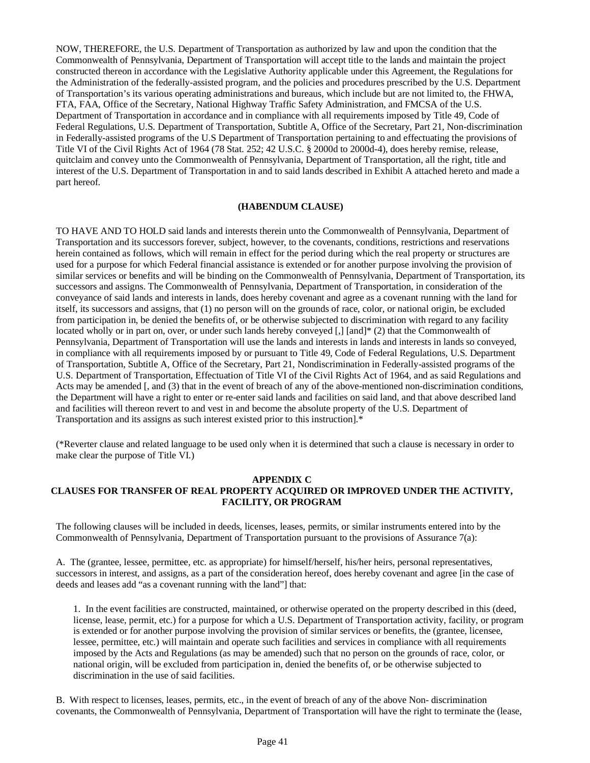NOW, THEREFORE, the U.S. Department of Transportation as authorized by law and upon the condition that the Commonwealth of Pennsylvania, Department of Transportation will accept title to the lands and maintain the project constructed thereon in accordance with the Legislative Authority applicable under this Agreement, the Regulations for the Administration of the federally-assisted program, and the policies and procedures prescribed by the U.S. Department of Transportation's its various operating administrations and bureaus, which include but are not limited to, the FHWA, FTA, FAA, Office of the Secretary, National Highway Traffic Safety Administration, and FMCSA of the U.S. Department of Transportation in accordance and in compliance with all requirements imposed by Title 49, Code of Federal Regulations, U.S. Department of Transportation, Subtitle A, Office of the Secretary, Part 21, Non-discrimination in Federally-assisted programs of the U.S Department of Transportation pertaining to and effectuating the provisions of Title VI of the Civil Rights Act of 1964 (78 Stat. 252; 42 U.S.C. § 2000d to 2000d-4), does hereby remise, release, quitclaim and convey unto the Commonwealth of Pennsylvania, Department of Transportation, all the right, title and interest of the U.S. Department of Transportation in and to said lands described in Exhibit A attached hereto and made a part hereof.

## **(HABENDUM CLAUSE)**

TO HAVE AND TO HOLD said lands and interests therein unto the Commonwealth of Pennsylvania, Department of Transportation and its successors forever, subject, however, to the covenants, conditions, restrictions and reservations herein contained as follows, which will remain in effect for the period during which the real property or structures are used for a purpose for which Federal financial assistance is extended or for another purpose involving the provision of similar services or benefits and will be binding on the Commonwealth of Pennsylvania, Department of Transportation, its successors and assigns. The Commonwealth of Pennsylvania, Department of Transportation, in consideration of the conveyance of said lands and interests in lands, does hereby covenant and agree as a covenant running with the land for itself, its successors and assigns, that (1) no person will on the grounds of race, color, or national origin, be excluded from participation in, be denied the benefits of, or be otherwise subjected to discrimination with regard to any facility located wholly or in part on, over, or under such lands hereby conveyed [,] [and]\* (2) that the Commonwealth of Pennsylvania, Department of Transportation will use the lands and interests in lands and interests in lands so conveyed, in compliance with all requirements imposed by or pursuant to Title 49, Code of Federal Regulations, U.S. Department of Transportation, Subtitle A, Office of the Secretary, Part 21, Nondiscrimination in Federally-assisted programs of the U.S. Department of Transportation, Effectuation of Title VI of the Civil Rights Act of 1964, and as said Regulations and Acts may be amended [, and (3) that in the event of breach of any of the above-mentioned non-discrimination conditions, the Department will have a right to enter or re-enter said lands and facilities on said land, and that above described land and facilities will thereon revert to and vest in and become the absolute property of the U.S. Department of Transportation and its assigns as such interest existed prior to this instruction].\*

(\*Reverter clause and related language to be used only when it is determined that such a clause is necessary in order to make clear the purpose of Title VI.)

#### **APPENDIX C**

## **CLAUSES FOR TRANSFER OF REAL PROPERTY ACQUIRED OR IMPROVED UNDER THE ACTIVITY, FACILITY, OR PROGRAM**

The following clauses will be included in deeds, licenses, leases, permits, or similar instruments entered into by the Commonwealth of Pennsylvania, Department of Transportation pursuant to the provisions of Assurance 7(a):

A. The (grantee, lessee, permittee, etc. as appropriate) for himself/herself, his/her heirs, personal representatives, successors in interest, and assigns, as a part of the consideration hereof, does hereby covenant and agree [in the case of deeds and leases add "as a covenant running with the land"] that:

1. In the event facilities are constructed, maintained, or otherwise operated on the property described in this (deed, license, lease, permit, etc.) for a purpose for which a U.S. Department of Transportation activity, facility, or program is extended or for another purpose involving the provision of similar services or benefits, the (grantee, licensee, lessee, permittee, etc.) will maintain and operate such facilities and services in compliance with all requirements imposed by the Acts and Regulations (as may be amended) such that no person on the grounds of race, color, or national origin, will be excluded from participation in, denied the benefits of, or be otherwise subjected to discrimination in the use of said facilities.

B. With respect to licenses, leases, permits, etc., in the event of breach of any of the above Non- discrimination covenants, the Commonwealth of Pennsylvania, Department of Transportation will have the right to terminate the (lease,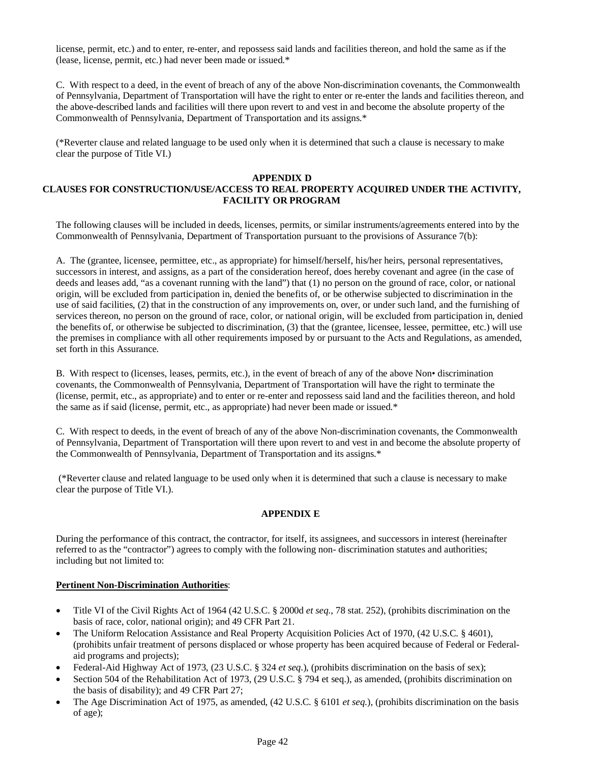license, permit, etc.) and to enter, re-enter, and repossess said lands and facilities thereon, and hold the same as if the (lease, license, permit, etc.) had never been made or issued.\*

C. With respect to a deed, in the event of breach of any of the above Non-discrimination covenants, the Commonwealth of Pennsylvania, Department of Transportation will have the right to enter or re-enter the lands and facilities thereon, and the above-described lands and facilities will there upon revert to and vest in and become the absolute property of the Commonwealth of Pennsylvania, Department of Transportation and its assigns.\*

(\*Reverter clause and related language to be used only when it is determined that such a clause is necessary to make clear the purpose of Title VI.)

## **APPENDIX D**

## **CLAUSES FOR CONSTRUCTION/USE/ACCESS TO REAL PROPERTY ACQUIRED UNDER THE ACTIVITY, FACILITY OR PROGRAM**

The following clauses will be included in deeds, licenses, permits, or similar instruments/agreements entered into by the Commonwealth of Pennsylvania, Department of Transportation pursuant to the provisions of Assurance 7(b):

A. The (grantee, licensee, permittee, etc., as appropriate) for himself/herself, his/her heirs, personal representatives, successors in interest, and assigns, as a part of the consideration hereof, does hereby covenant and agree (in the case of deeds and leases add, "as a covenant running with the land") that (1) no person on the ground of race, color, or national origin, will be excluded from participation in, denied the benefits of, or be otherwise subjected to discrimination in the use of said facilities, (2) that in the construction of any improvements on, over, or under such land, and the furnishing of services thereon, no person on the ground of race, color, or national origin, will be excluded from participation in, denied the benefits of, or otherwise be subjected to discrimination, (3) that the (grantee, licensee, lessee, permittee, etc.) will use the premises in compliance with all other requirements imposed by or pursuant to the Acts and Regulations, as amended, set forth in this Assurance.

B. With respect to (licenses, leases, permits, etc.), in the event of breach of any of the above Non• discrimination covenants, the Commonwealth of Pennsylvania, Department of Transportation will have the right to terminate the (license, permit, etc., as appropriate) and to enter or re-enter and repossess said land and the facilities thereon, and hold the same as if said (license, permit, etc., as appropriate) had never been made or issued.\*

C. With respect to deeds, in the event of breach of any of the above Non-discrimination covenants, the Commonwealth of Pennsylvania, Department of Transportation will there upon revert to and vest in and become the absolute property of the Commonwealth of Pennsylvania, Department of Transportation and its assigns.\*

(\*Reverter clause and related language to be used only when it is determined that such a clause is necessary to make clear the purpose of Title VI.).

## **APPENDIX E**

During the performance of this contract, the contractor, for itself, its assignees, and successors in interest (hereinafter referred to as the "contractor") agrees to comply with the following non- discrimination statutes and authorities; including but not limited to:

#### **Pertinent Non-Discrimination Authorities**:

- Title VI of the Civil Rights Act of 1964 (42 U.S.C. § 2000d *et seq*., 78 stat. 252), (prohibits discrimination on the basis of race, color, national origin); and 49 CFR Part 21.
- The Uniform Relocation Assistance and Real Property Acquisition Policies Act of 1970, (42 U.S.C. § 4601), (prohibits unfair treatment of persons displaced or whose property has been acquired because of Federal or Federalaid programs and projects);
- Federal-Aid Highway Act of 1973, (23 U.S.C. § 324 *et seq*.), (prohibits discrimination on the basis of sex);
- Section 504 of the Rehabilitation Act of 1973, (29 U.S.C. § 794 et seq.), as amended, (prohibits discrimination on the basis of disability); and 49 CFR Part 27;
- The Age Discrimination Act of 1975, as amended, (42 U.S.C. § 6101 *et seq*.), (prohibits discrimination on the basis of age);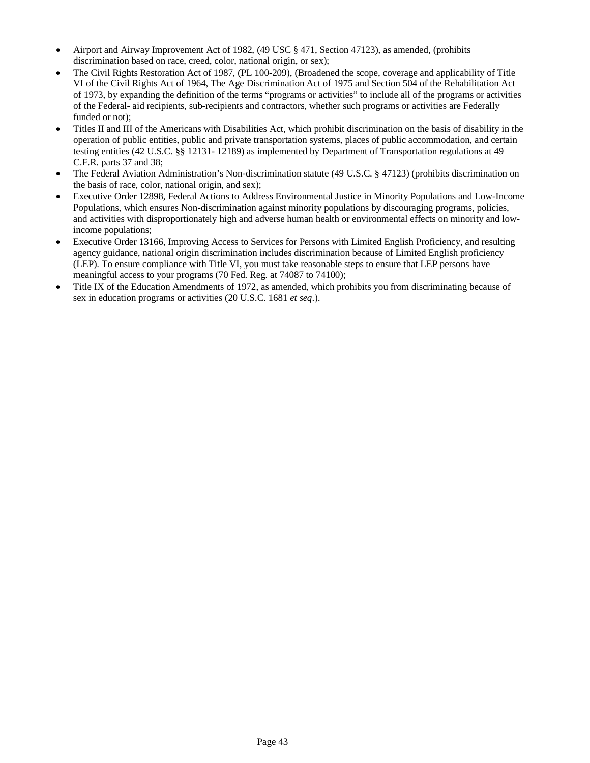- Airport and Airway Improvement Act of 1982, (49 USC § 471, Section 47123), as amended, (prohibits discrimination based on race, creed, color, national origin, or sex);
- The Civil Rights Restoration Act of 1987, (PL 100-209), (Broadened the scope, coverage and applicability of Title VI of the Civil Rights Act of 1964, The Age Discrimination Act of 1975 and Section 504 of the Rehabilitation Act of 1973, by expanding the definition of the terms "programs or activities" to include all of the programs or activities of the Federal- aid recipients, sub-recipients and contractors, whether such programs or activities are Federally funded or not);
- Titles II and III of the Americans with Disabilities Act, which prohibit discrimination on the basis of disability in the operation of public entities, public and private transportation systems, places of public accommodation, and certain testing entities (42 U.S.C. §§ 12131- 12189) as implemented by Department of Transportation regulations at 49 C.F.R. parts 37 and 38;
- The Federal Aviation Administration's Non-discrimination statute (49 U.S.C. § 47123) (prohibits discrimination on the basis of race, color, national origin, and sex);
- Executive Order 12898, Federal Actions to Address Environmental Justice in Minority Populations and Low-Income Populations, which ensures Non-discrimination against minority populations by discouraging programs, policies, and activities with disproportionately high and adverse human health or environmental effects on minority and lowincome populations;
- Executive Order 13166, Improving Access to Services for Persons with Limited English Proficiency, and resulting agency guidance, national origin discrimination includes discrimination because of Limited English proficiency (LEP). To ensure compliance with Title VI, you must take reasonable steps to ensure that LEP persons have meaningful access to your programs (70 Fed. Reg. at 74087 to 74100);
- Title IX of the Education Amendments of 1972, as amended, which prohibits you from discriminating because of sex in education programs or activities (20 U.S.C. 1681 *et seq*.).